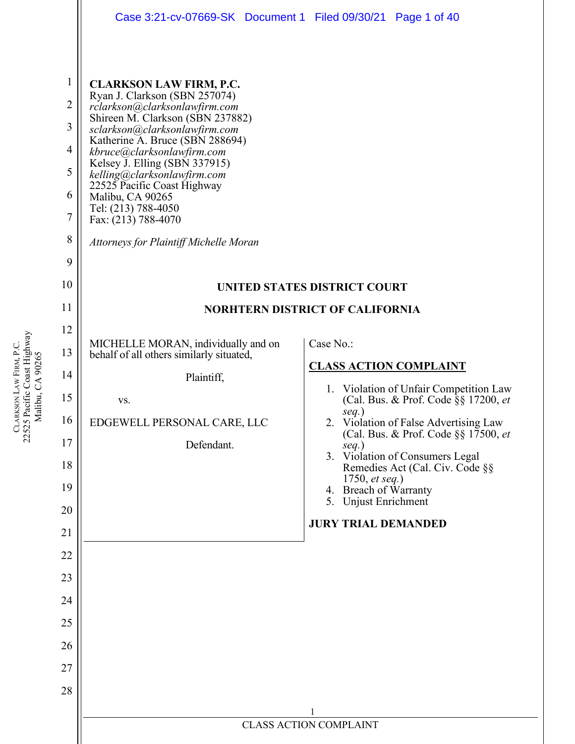|                                                                                | Case 3:21-cv-07669-SK Document 1 Filed 09/30/21 Page 1 of 40                                                                                                                                                                                                                                                                                                                                                                                             |                                                                                          |
|--------------------------------------------------------------------------------|----------------------------------------------------------------------------------------------------------------------------------------------------------------------------------------------------------------------------------------------------------------------------------------------------------------------------------------------------------------------------------------------------------------------------------------------------------|------------------------------------------------------------------------------------------|
| $\mathbf{1}$<br>$\overline{2}$<br>3<br>$\overline{4}$<br>5<br>6<br>7<br>8<br>9 | <b>CLARKSON LAW FIRM, P.C.</b><br>Ryan J. Clarkson (SBN 257074)<br>rclarkson@clarksonlawfirm.com<br>Shireen M. Clarkson (SBN 237882)<br>sclarkson@clarksonlawfirm.com<br>Katherine A. Bruce (SBN 288694)<br>kbruce@clarksonlawfirm.com<br>Kelsey J. Elling (SBN 337915)<br>kelling@clarksonlawfirm.com<br>22525 Pacific Coast Highway<br>Malibu, CA 90265<br>Tel: (213) 788-4050<br>Fax: (213) 788-4070<br><b>Attorneys for Plaintiff Michelle Moran</b> |                                                                                          |
| 10                                                                             |                                                                                                                                                                                                                                                                                                                                                                                                                                                          | UNITED STATES DISTRICT COURT                                                             |
| 11                                                                             |                                                                                                                                                                                                                                                                                                                                                                                                                                                          | <b>NORHTERN DISTRICT OF CALIFORNIA</b>                                                   |
| 12                                                                             |                                                                                                                                                                                                                                                                                                                                                                                                                                                          |                                                                                          |
| 13                                                                             | MICHELLE MORAN, individually and on<br>behalf of all others similarly situated,                                                                                                                                                                                                                                                                                                                                                                          | Case No.:<br><b>CLASS ACTION COMPLAINT</b>                                               |
| 14                                                                             | Plaintiff,                                                                                                                                                                                                                                                                                                                                                                                                                                               | 1. Violation of Unfair Competition Law                                                   |
| 15                                                                             | VS.                                                                                                                                                                                                                                                                                                                                                                                                                                                      | (Cal. Bus. & Prof. Code §§ 17200, et<br>$seq.$ )                                         |
| 16                                                                             | EDGEWELL PERSONAL CARE, LLC                                                                                                                                                                                                                                                                                                                                                                                                                              | 2. Violation of False Advertising Law<br>(Cal. Bus. & Prof. Code $\S$ § 17500, <i>et</i> |
| 17<br>18                                                                       | Defendant.                                                                                                                                                                                                                                                                                                                                                                                                                                               | $seq.$ )<br>3. Violation of Consumers Legal<br>Remedies Act (Cal. Civ. Code §§           |
| 19                                                                             |                                                                                                                                                                                                                                                                                                                                                                                                                                                          | 1750, <i>et seq.</i> )<br>4. Breach of Warranty                                          |
| 20                                                                             |                                                                                                                                                                                                                                                                                                                                                                                                                                                          | 5. Unjust Enrichment                                                                     |
| 21                                                                             |                                                                                                                                                                                                                                                                                                                                                                                                                                                          | <b>JURY TRIAL DEMANDED</b>                                                               |
| 22                                                                             |                                                                                                                                                                                                                                                                                                                                                                                                                                                          |                                                                                          |
| 23                                                                             |                                                                                                                                                                                                                                                                                                                                                                                                                                                          |                                                                                          |
| 24                                                                             |                                                                                                                                                                                                                                                                                                                                                                                                                                                          |                                                                                          |
| 25                                                                             |                                                                                                                                                                                                                                                                                                                                                                                                                                                          |                                                                                          |
| 26                                                                             |                                                                                                                                                                                                                                                                                                                                                                                                                                                          |                                                                                          |
| 27                                                                             |                                                                                                                                                                                                                                                                                                                                                                                                                                                          |                                                                                          |
| 28                                                                             |                                                                                                                                                                                                                                                                                                                                                                                                                                                          |                                                                                          |
|                                                                                |                                                                                                                                                                                                                                                                                                                                                                                                                                                          | <b>CLASS ACTION COMPLAINT</b>                                                            |
|                                                                                |                                                                                                                                                                                                                                                                                                                                                                                                                                                          |                                                                                          |

CLARKSON LAW FIRM, P.C.<br>22525 Pacific Coast Highway<br>Malibu, CA 90265 22525 Pacific Coast Highway LAW FIRM, P.C. Malibu, CA 90265 **CLARKSON**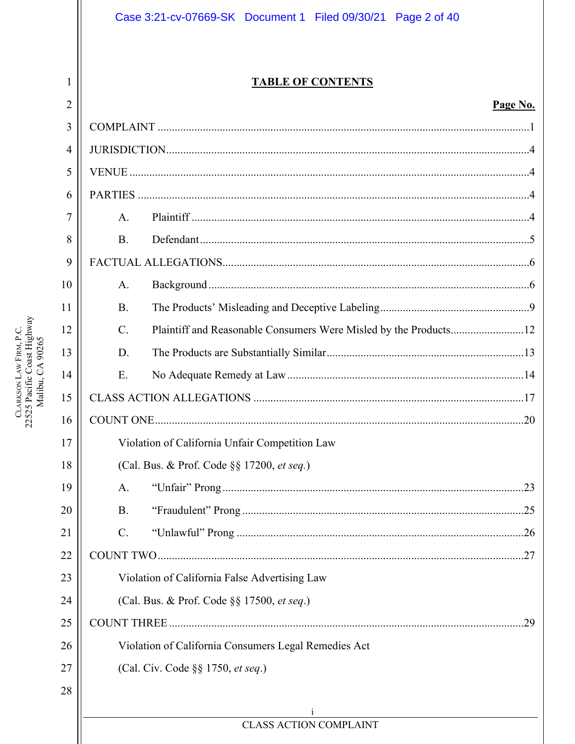### Case 3:21-cv-07669-SK Document 1 Filed 09/30/21 Page 2 of 40

 $\mathbf{1}$ 

CLARKSON LAW FIRM, P.C.<br>22525 Pacific Coast Highway<br>Malibu, CA 90265

#### **TABLE OF CONTENTS**

#### Page No.

| $\overline{2}$ |                 |                                                      | Page No. |
|----------------|-----------------|------------------------------------------------------|----------|
| 3              |                 |                                                      |          |
| $\overline{4}$ |                 |                                                      |          |
| 5              |                 |                                                      |          |
| 6              |                 |                                                      |          |
| 7              | A.              |                                                      |          |
| 8              | <b>B.</b>       |                                                      |          |
| 9              |                 |                                                      |          |
| 10             | A.              |                                                      |          |
| 11             | <b>B.</b>       |                                                      |          |
| 12             | $\mathcal{C}$ . |                                                      |          |
| 13             | D.              |                                                      |          |
| 14             | Ε.              |                                                      |          |
| 15             |                 |                                                      |          |
| 16             |                 |                                                      |          |
| 17             |                 | Violation of California Unfair Competition Law       |          |
| 18             |                 | (Cal. Bus. & Prof. Code §§ 17200, et seq.)           |          |
| 19             | A.              |                                                      |          |
| 20             | <b>B.</b>       |                                                      |          |
| 21             | $\mathcal{C}$ . |                                                      |          |
| 22             |                 |                                                      |          |
| 23             |                 | Violation of California False Advertising Law        |          |
| 24             |                 | (Cal. Bus. & Prof. Code §§ 17500, et seq.)           |          |
| 25             |                 |                                                      |          |
| 26             |                 | Violation of California Consumers Legal Remedies Act |          |
| 27             |                 | (Cal. Civ. Code §§ 1750, et seq.)                    |          |
| 28             |                 |                                                      |          |
|                |                 | <b>CLASS ACTION COMPLAINT</b>                        |          |
|                |                 |                                                      |          |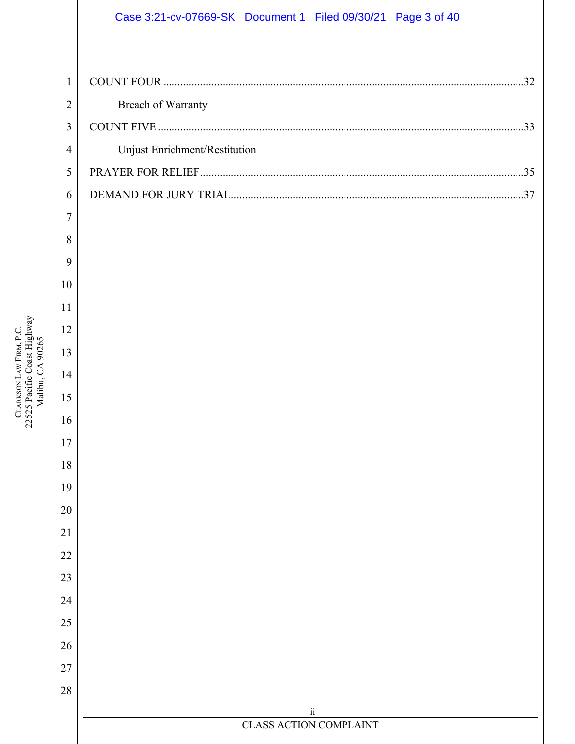### Case 3:21-cv-07669-SK Document 1 Filed 09/30/21 Page 3 of 40

| <b>Breach of Warranty</b>     |
|-------------------------------|
|                               |
| Unjust Enrichment/Restitution |
|                               |
|                               |

| 3                |                                           |
|------------------|-------------------------------------------|
| $\overline{4}$   | Unjust Enrichment/Restitution             |
| 5                |                                           |
| 6                |                                           |
| $\boldsymbol{7}$ |                                           |
| 8                |                                           |
| 9                |                                           |
| 10               |                                           |
| 11               |                                           |
| 12               |                                           |
| 13               |                                           |
| 14               |                                           |
| 15               |                                           |
| 16               |                                           |
| 17               |                                           |
| 18               |                                           |
| 19               |                                           |
| 20               |                                           |
| 21               |                                           |
| 22               |                                           |
| 23               |                                           |
| $24\,$           |                                           |
| 25               |                                           |
| 26               |                                           |
| $27\,$           |                                           |
| $28\,$           |                                           |
|                  | $\rm ii$<br><b>CLASS ACTION COMPLAINT</b> |
|                  |                                           |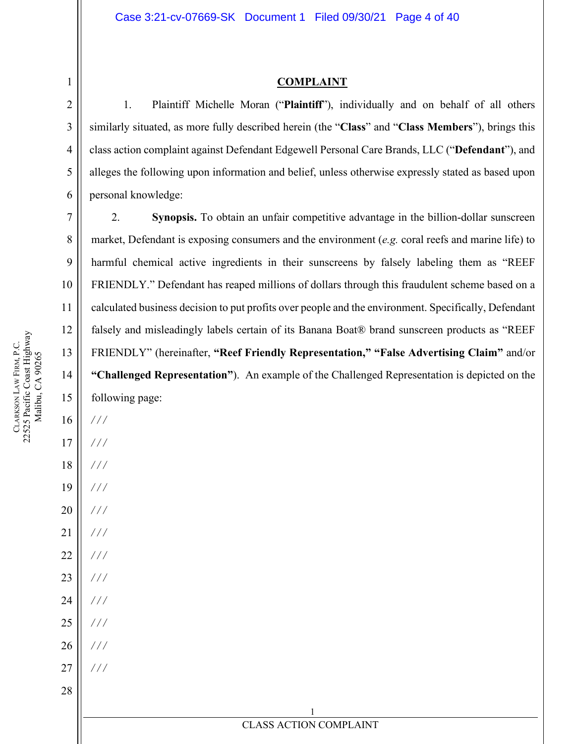#### **COMPLAINT**

1. Plaintiff Michelle Moran ("**Plaintiff**"), individually and on behalf of all others similarly situated, as more fully described herein (the "**Class**" and "**Class Members**"), brings this class action complaint against Defendant Edgewell Personal Care Brands, LLC ("**Defendant**"), and alleges the following upon information and belief, unless otherwise expressly stated as based upon personal knowledge:

2. **Synopsis.** To obtain an unfair competitive advantage in the billion-dollar sunscreen market, Defendant is exposing consumers and the environment (*e.g.* coral reefs and marine life) to harmful chemical active ingredients in their sunscreens by falsely labeling them as "REEF FRIENDLY." Defendant has reaped millions of dollars through this fraudulent scheme based on a s over people and the environment. Specifically, Defendant of its Banana Boat® brand sunscreen products as "REEF FRIENDLY" (hereinafter, **"Reef Friendly Representation," "False Advertising Claim"** and/or ample of the Challenged Representation is depicted on the

> 1 **ACTION COMPLAINT**

<span id="page-3-0"></span>1

2

3

4

5

6

7

8

9

| 11     | calculated business decision to put profits |
|--------|---------------------------------------------|
| 12     | falsely and misleadingly labels certain c   |
| 13     | FRIENDLY" (hereinafter, "Reef Friend        |
| 14     | "Challenged Representation"). An exa        |
| 15     | following page:                             |
| 16     | ///                                         |
| $17$   | ///                                         |
| 18     | ///                                         |
| 19     | ///                                         |
| 20     | 111                                         |
| 21     | $\frac{1}{2}$                               |
| 22     | ///                                         |
| 23     | ///                                         |
| 24     | ///                                         |
| 25     | //                                          |
| 26     | ///                                         |
| $27\,$ | 111                                         |
| 28     |                                             |
|        |                                             |
|        | <b>CLASS</b>                                |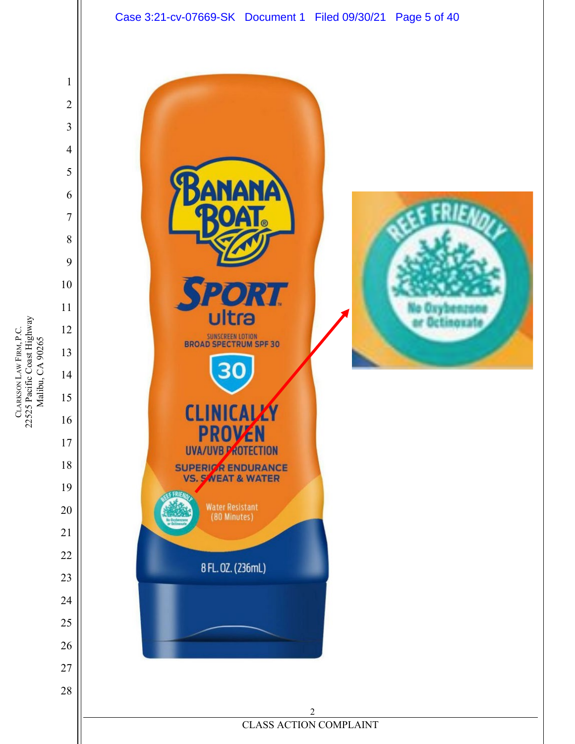

CLARKSON LAW FIRM, P.C.<br>22525 Pacific Coast Highway<br>Malibu, CA 90265 22525 Pacific Coast Highway LAW FIRM, P.C. Malibu, CA 90265 **CLARKSON**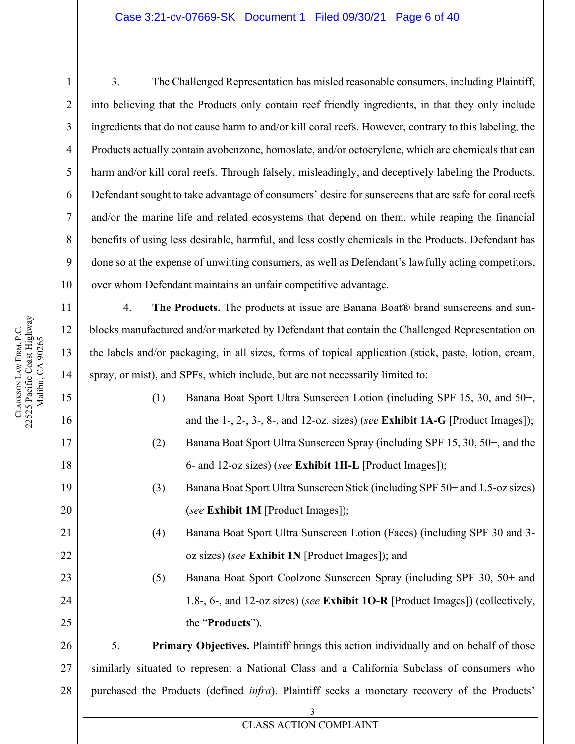#### Case 3:21-cv-07669-SK Document 1 Filed 09/30/21 Page 6 of 40

3. The Challenged Representation has misled reasonable consumers, including Plaintiff, into believing that the Products only contain reef friendly ingredients, in that they only include ingredients that do not cause harm to and/or kill coral reefs. However, contrary to this labeling, the Products actually contain avobenzone, homoslate, and/or octocrylene, which are chemicals that can harm and/or kill coral reefs. Through falsely, misleadingly, and deceptively labeling the Products, Defendant sought to take advantage of consumers' desire for sunscreens that are safe for coral reefs and/or the marine life and related ecosystems that depend on them, while reaping the financial benefits of using less desirable, harmful, and less costly chemicals in the Products. Defendant has done so at the expense of unwitting consumers, as well as Defendant's lawfully acting competitors, over whom Defendant maintains an unfair competitive advantage.

4. **The Products.** The products at issue are Banana Boat® brand sunscreens and sunblocks manufactured and/or marketed by Defendant that contain the Challenged Representation on the labels and/or packaging, in all sizes, forms of topical application (stick, paste, lotion, cream, spray, or mist), and SPFs, which include, but are not necessarily limited to:

- (1) Banana Boat Sport Ultra Sunscreen Lotion (including SPF 15, 30, and 50+, and the 1-, 2-, 3-, 8-, and 12-oz. sizes) (*see* **Exhibit 1A-G** [Product Images]); (2) Banana Boat Sport Ultra Sunscreen Spray (including SPF 15, 30, 50+, and the
- (3) Banana Boat Sport Ultra Sunscreen Stick (including SPF 50+ and 1.5-oz sizes) (*see* **Exhibit 1M** [Product Images]);

6- and 12-oz sizes) (*see* **Exhibit 1H-L** [Product Images]);

- (4) Banana Boat Sport Ultra Sunscreen Lotion (Faces) (including SPF 30 and 3 oz sizes) (*see* **Exhibit 1N** [Product Images]); and
	- (5) Banana Boat Sport Coolzone Sunscreen Spray (including SPF 30, 50+ and 1.8-, 6-, and 12-oz sizes) (*see* **Exhibit 1O-R** [Product Images]) (collectively, the "**Products**").

26 27 28 5. **Primary Objectives.** Plaintiff brings this action individually and on behalf of those similarly situated to represent a National Class and a California Subclass of consumers who purchased the Products (defined *infra*). Plaintiff seeks a monetary recovery of the Products'

1

2

3

4

5

6

7

8

9

10

11

12

13

14

15

16

17

18

19

20

21

22

23

24

25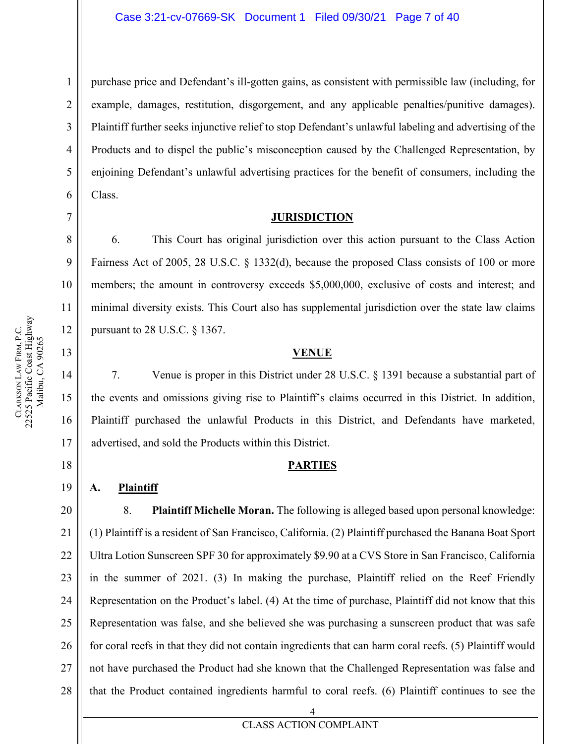purchase price and Defendant's ill-gotten gains, as consistent with permissible law (including, for example, damages, restitution, disgorgement, and any applicable penalties/punitive damages). Plaintiff further seeks injunctive relief to stop Defendant's unlawful labeling and advertising of the Products and to dispel the public's misconception caused by the Challenged Representation, by enjoining Defendant's unlawful advertising practices for the benefit of consumers, including the Class.

#### **JURISDICTION**

6. This Court has original jurisdiction over this action pursuant to the Class Action Fairness Act of 2005, 28 U.S.C. § 1332(d), because the proposed Class consists of 100 or more members; the amount in controversy exceeds \$5,000,000, exclusive of costs and interest; and minimal diversity exists. This Court also has supplemental jurisdiction over the state law claims pursuant to 28 U.S.C. § 1367.

#### **VENUE**

7. Venue is proper in this District under 28 U.S.C. § 1391 because a substantial part of the events and omissions giving rise to Plaintiff's claims occurred in this District. In addition, Plaintiff purchased the unlawful Products in this District, and Defendants have marketed, advertised, and sold the Products within this District.

#### **PARTIES**

#### <span id="page-6-3"></span>**A. Plaintiff**

20 21 22 23 24 25 26 27 28 8. **Plaintiff Michelle Moran.** The following is alleged based upon personal knowledge: (1) Plaintiff is a resident of San Francisco, California. (2) Plaintiff purchased the Banana Boat Sport Ultra Lotion Sunscreen SPF 30 for approximately \$9.90 at a CVS Store in San Francisco, California in the summer of 2021. (3) In making the purchase, Plaintiff relied on the Reef Friendly Representation on the Product's label. (4) At the time of purchase, Plaintiff did not know that this Representation was false, and she believed she was purchasing a sunscreen product that was safe for coral reefs in that they did not contain ingredients that can harm coral reefs. (5) Plaintiff would not have purchased the Product had she known that the Challenged Representation was false and that the Product contained ingredients harmful to coral reefs. (6) Plaintiff continues to see the

1

2

3

4

5

6

<span id="page-6-0"></span>7

8

9

10

11

12

<span id="page-6-1"></span>13

14

15

16

17

<span id="page-6-2"></span>18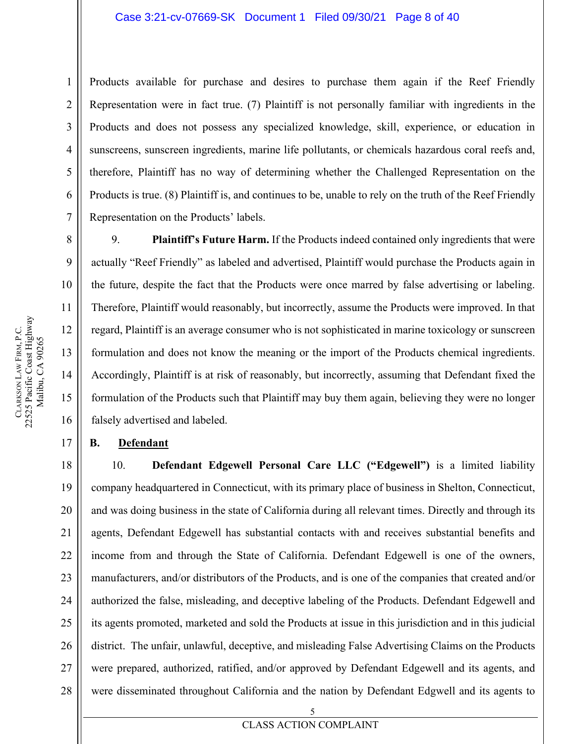Products available for purchase and desires to purchase them again if the Reef Friendly Representation were in fact true. (7) Plaintiff is not personally familiar with ingredients in the Products and does not possess any specialized knowledge, skill, experience, or education in sunscreens, sunscreen ingredients, marine life pollutants, or chemicals hazardous coral reefs and, therefore, Plaintiff has no way of determining whether the Challenged Representation on the Products is true. (8) Plaintiff is, and continues to be, unable to rely on the truth of the Reef Friendly Representation on the Products' labels.

9. **Plaintiff's Future Harm.** If the Products indeed contained only ingredients that were actually "Reef Friendly" as labeled and advertised, Plaintiff would purchase the Products again in the future, despite the fact that the Products were once marred by false advertising or labeling. Therefore, Plaintiff would reasonably, but incorrectly, assume the Products were improved. In that regard, Plaintiff is an average consumer who is not sophisticated in marine toxicology or sunscreen formulation and does not know the meaning or the import of the Products chemical ingredients. Accordingly, Plaintiff is at risk of reasonably, but incorrectly, assuming that Defendant fixed the formulation of the Products such that Plaintiff may buy them again, believing they were no longer falsely advertised and labeled.

#### <span id="page-7-0"></span>**B. Defendant**

18 19 20 21 22 23 24 25 26 27 28 10. **Defendant Edgewell Personal Care LLC ("Edgewell")** is a limited liability company headquartered in Connecticut, with its primary place of business in Shelton, Connecticut, and was doing business in the state of California during all relevant times. Directly and through its agents, Defendant Edgewell has substantial contacts with and receives substantial benefits and income from and through the State of California. Defendant Edgewell is one of the owners, manufacturers, and/or distributors of the Products, and is one of the companies that created and/or authorized the false, misleading, and deceptive labeling of the Products. Defendant Edgewell and its agents promoted, marketed and sold the Products at issue in this jurisdiction and in this judicial district. The unfair, unlawful, deceptive, and misleading False Advertising Claims on the Products were prepared, authorized, ratified, and/or approved by Defendant Edgewell and its agents, and were disseminated throughout California and the nation by Defendant Edgwell and its agents to

1

2

3

4

5

6

7

8

9

10

11

12

13

14

15

16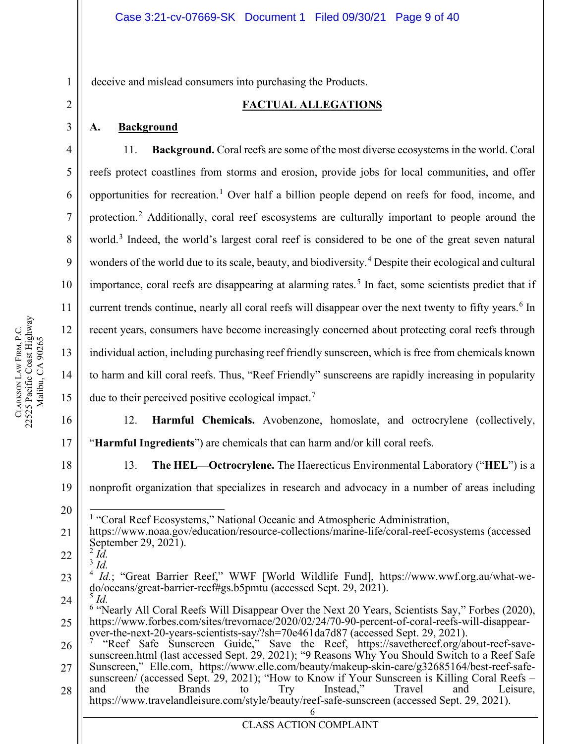<span id="page-8-0"></span>deceive and mislead consumers into purchasing the Products.

#### **FACTUAL ALLEGATIONS**

#### <span id="page-8-1"></span>**A. Background**

1

2

3

4

5

6

7

8

9

10

11

12

13

14

15

16

17

18

<span id="page-8-2"></span>20

21

11. **Background.** Coral reefs are some of the most diverse ecosystems in the world. Coral reefs protect coastlines from storms and erosion, provide jobs for local communities, and offer opportunities for recreation.<sup>[1](#page-8-2)</sup> Over half a billion people depend on reefs for food, income, and protection.<sup>[2](#page-8-3)</sup> Additionally, coral reef escosystems are culturally important to people around the world.<sup>[3](#page-8-4)</sup> Indeed, the world's largest coral reef is considered to be one of the great seven natural wonders of the world due to its scale, beauty, and biodiversity.<sup>[4](#page-8-5)</sup> Despite their ecological and cultural importance, coral reefs are disappearing at alarming rates. [5](#page-8-6) In fact, some scientists predict that if current trends continue, nearly all coral reefs will disappear over the next twenty to fifty years.<sup>[6](#page-8-7)</sup> In recent years, consumers have become increasingly concerned about protecting coral reefs through individual action, including purchasing reef friendly sunscreen, which is free from chemicals known to harm and kill coral reefs. Thus, "Reef Friendly" sunscreens are rapidly increasing in popularity due to their perceived positive ecological impact.<sup>[7](#page-8-8)</sup>

12. **Harmful Chemicals.** Avobenzone, homoslate, and octrocrylene (collectively, "**Harmful Ingredients**") are chemicals that can harm and/or kill coral reefs.

13. **The HEL—Octrocrylene.** The Haerecticus Environmental Laboratory ("**HEL**") is a

19 nonprofit organization that specializes in research and advocacy in a number of areas including

<sup>1</sup> "Coral Reef Ecosystems," National Oceanic and Atmospheric Administration,

https://www.noaa.gov/education/resource-collections/marine-life/coral-reef-ecosystems (accessed September 29, 2021). <sup>2</sup> *Id.*

<span id="page-8-3"></span>22  $\overline{\overset{\text{3}}{d}}$ .

<span id="page-8-5"></span><span id="page-8-4"></span>23 <sup>4</sup> *Id.*; "Great Barrier Reef," WWF [World Wildlife Fund], https://www.wwf.org.au/what-wedo/oceans/great-barrier-reef#gs.b5pmtu (accessed Sept. 29, 2021).<br><sup>5</sup> *Id.*<br><sup>6</sup> "Nearly All Coral Reefs Will Disappear Over the Next 20 Years, Scientists Say," Forbes (2020),

<span id="page-8-6"></span>24

<span id="page-8-7"></span>25

<span id="page-8-8"></span>26 27 28 https://www.forbes.com/sites/trevornace/2020/02/24/70-90-percent-of-coral-reefs-will-disappear-<br>over-the-next-20-years-scientists-say/?sh=70e461da7d87 (accessed Sept. 29, 2021).<br><sup>7</sup> "Reef Safe Sunscreen Guide," Save the Re sunscreen/ (accessed Sept. 29, 2021); "How to Know if Your Sunscreen is Killing Coral Reefs – and the Brands to Try Instead," Travel and Leisure, https://www.travelandleisure.com/style/beauty/reef-safe-sunscreen (accessed Sept. 29, 2021).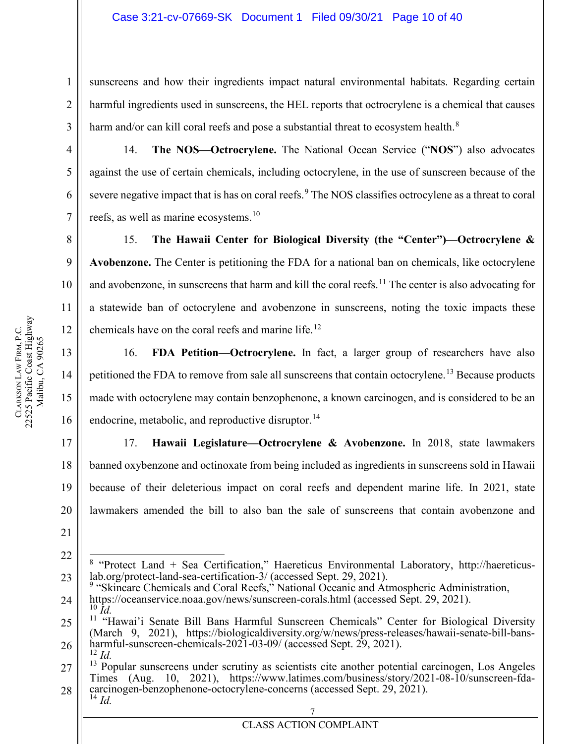sunscreens and how their ingredients impact natural environmental habitats. Regarding certain harmful ingredients used in sunscreens, the HEL reports that octrocrylene is a chemical that causes harm and/or can kill coral reefs and pose a substantial threat to ecosystem health.<sup>[8](#page-9-0)</sup>

14. **The NOS—Octrocrylene.** The National Ocean Service ("**NOS**") also advocates against the use of certain chemicals, including octocrylene, in the use of sunscreen because of the severe negative impact that is has on coral reefs.<sup>[9](#page-9-1)</sup> The NOS classifies octrocylene as a threat to coral reefs, as well as marine ecosystems.<sup>[10](#page-9-2)</sup>

15. **The Hawaii Center for Biological Diversity (the "Center")—Octrocrylene & Avobenzone.** The Center is petitioning the FDA for a national ban on chemicals, like octocrylene and avobenzone, in sunscreens that harm and kill the coral reefs.<sup>[11](#page-9-3)</sup> The center is also advocating for a statewide ban of octocrylene and avobenzone in sunscreens, noting the toxic impacts these chemicals have on the coral reefs and marine life.<sup>[12](#page-9-4)</sup>

16. **FDA Petition—Octrocrylene.** In fact, a larger group of researchers have also petitioned the FDA to remove from sale all sunscreens that contain octocrylene.<sup>[13](#page-9-5)</sup> Because products made with octocrylene may contain benzophenone, a known carcinogen, and is considered to be an endocrine, metabolic, and reproductive disruptor.  $^{14}$  $^{14}$  $^{14}$ 

17. **Hawaii Legislature—Octrocrylene & Avobenzone.** In 2018, state lawmakers banned oxybenzone and octinoxate from being included as ingredients in sunscreens sold in Hawaii because of their deleterious impact on coral reefs and dependent marine life. In 2021, state lawmakers amended the bill to also ban the sale of sunscreens that contain avobenzone and

<span id="page-9-1"></span>24 <sup>9</sup> "Skincare Chemicals and Coral Reefs," National Oceanic and Atmospheric Administration, https://oceanservice.noaa.gov/news/sunscreen-corals.html (accessed Sept. 29, 2021).

1

2

3

4

5

6

7

8

9

10

11

12

13

14

15

16

17

18

19

20

<span id="page-9-0"></span><sup>22</sup> 23 <sup>8</sup> "Protect Land + Sea Certification," Haereticus Environmental Laboratory, http://haereticus-<br>lab.org/protect-land-sea-certification-3/ (accessed Sept. 29, 2021).

<sup>&</sup>lt;sup>10</sup> *Id.*<br><sup>11</sup> "Hawai'i Senate Bill Bans Harmful Sunscreen Chemicals" Center for Biological Diversity

<span id="page-9-3"></span><span id="page-9-2"></span><sup>25</sup> 26 (March 9, 2021), https://biologicaldiversity.org/w/news/press-releases/hawaii-senate-bill-bans-<br>harmful-sunscreen-chemicals-2021-03-09/ (accessed Sept. 29, 2021).<br><sup>12</sup> *Id.* 

<span id="page-9-6"></span><span id="page-9-5"></span><span id="page-9-4"></span><sup>27</sup> 28  $13$  Popular sunscreens under scrutiny as scientists cite another potential carcinogen, Los Angeles Times (Aug. 10, 2021), https://www.latimes.com/business/story/2021-08-10/sunscreen-fda-<br>carcinogen-benzophenone-octocrylene-concerns (accessed Sept. 29, 2021).<br><sup>14</sup> *Id*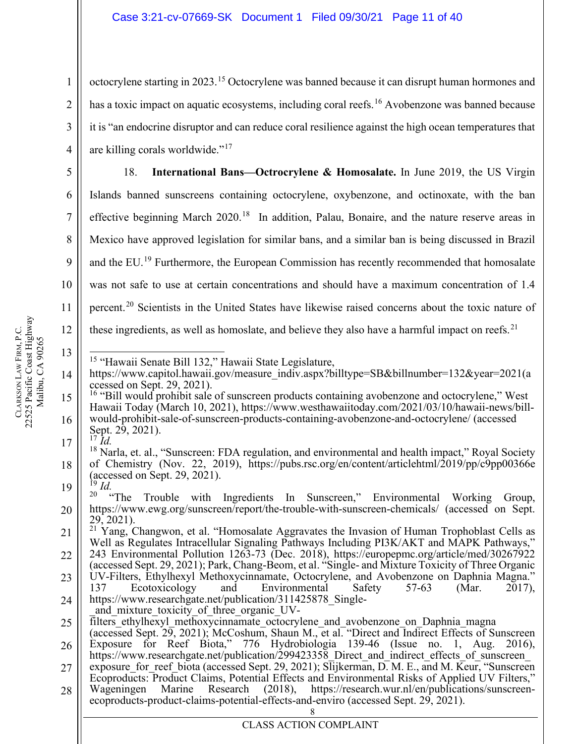octocrylene starting in 2023.<sup>[15](#page-10-0)</sup> Octocrylene was banned because it can disrupt human hormones and has a toxic impact on aquatic ecosystems, including coral reefs.<sup>[16](#page-10-1)</sup> Avobenzone was banned because it is "an endocrine disruptor and can reduce coral resilience against the high ocean temperatures that are killing corals worldwide."[17](#page-10-2)

18. **International Bans—Octrocrylene & Homosalate.** In June 2019, the US Virgin Islands banned sunscreens containing octocrylene, oxybenzone, and octinoxate, with the ban effective beginning March  $2020$ <sup>[18](#page-10-3)</sup> In addition, Palau, Bonaire, and the nature reserve areas in Mexico have approved legislation for similar bans, and a similar ban is being discussed in Brazil and the EU.<sup>[19](#page-10-4)</sup> Furthermore, the European Commission has recently recommended that homosalate was not safe to use at certain concentrations and should have a maximum concentration of 1.4 percent.<sup>[20](#page-10-5)</sup> Scientists in the United States have likewise raised concerns about the toxic nature of these ingredients, as well as homoslate, and believe they also have a harmful impact on reefs.<sup>[21](#page-10-6)</sup>

- 
- <span id="page-10-0"></span>14 <sup>15</sup> "Hawaii Senate Bill 132," Hawaii State Legislature,<br>https://www.capitol.hawaii.gov/measure\_indiv.aspx?billtype=SB&billnumber=132&year=2021(a<br>ccessed on Sept. 29, 2021).
- <span id="page-10-1"></span>15 16 17 <sup>16</sup> "Bill would prohibit sale of sunscreen products containing avobenzone and octocrylene," West Hawaii Today (March 10, 2021), https://www.westhawaiitoday.com/2021/03/10/hawaii-news/billwould-prohibit-sale-of-sunscreen-products-containing-avobenzone-and-octocrylene/ (accessed Sept. 29, 2021).<br><sup>17</sup> *Id.* 
	-
- <span id="page-10-3"></span><span id="page-10-2"></span>18 19 <sup>18</sup> Narla, et. al., "Sunscreen: FDA regulation, and environmental and health impact," Royal Society of Chemistry (Nov. 22, 2019), https://pubs.rsc.org/en/content/articlehtml/2019/pp/c9pp00366e (accessed on Sept. 29, 2021).<br><sup>19</sup> *Id.*<br><sup>20</sup> "The Trouble with Ingredients In Sunscreen," Environmental Working Group,
	-
- <span id="page-10-5"></span><span id="page-10-4"></span>20 https://www.ewg.org/sunscreen/report/the-trouble-with-sunscreen-chemicals/ (accessed on Sept.
- <span id="page-10-6"></span>21 22 29, 2021). <sup>21</sup> Yang, Changwon, et al. "Homosalate Aggravates the Invasion of Human Trophoblast Cells as Well as Regulates Intracellular Signaling Pathways Including PI3K/AKT and MAPK Pathways," 243 Environmental Pollution 1263-73 (Dec. 2018), https://europepmc.org/article/med/30267922 (accessed Sept. 29, 2021); Park, Chang-Beom, et al. "Single- and Mixture Toxicity of Three Organic
- 23 24 UV-Filters, Ethylhexyl Methoxycinnamate, Octocrylene, and Avobenzone on Daphnia Magna."<br>137 Ecotoxicology and Environmental Safety 57-63 (Mar. 2017). 137 Ecotoxicology and Environmental Safety 57-63 (Mar. 2017), https://www.researchgate.net/publication/311425878\_Single-<br>and mixture toxicity of three organic UV-
- 
- 25  $\overline{\text{filters}}$  ethylhexyl methoxycinnamate octocrylene and avobenzone on Daphnia magna
- 26 (accessed Sept.  $2\overline{9}$ , 2021); McCoshum, Shaun M., et al. "Direct and Indirect Effects of Sunscreen Exposure for Reef Biota," 776 Hydrobiologia 139-46 (Issue no. 1, Aug. 2016), https://www.researchgate.net/publication/299423358 Direct and indirect effects of sunscreen
- 27 exposure for reef biota (accessed Sept. 29, 2021); Slijkerman, D. M. E., and M. Keur, "Sunscreen
- 28 Ecoproducts: Product Claims, Potential Effects and Environmental Risks of Applied UV Filters,"<br>Wageningen Marine Research (2018), https://research.wur.nl/en/publications/sunscreen-<br>ecoproducts-product-claims-potential-effe

1

2

3

4

5

6

7

8

9

10

11

12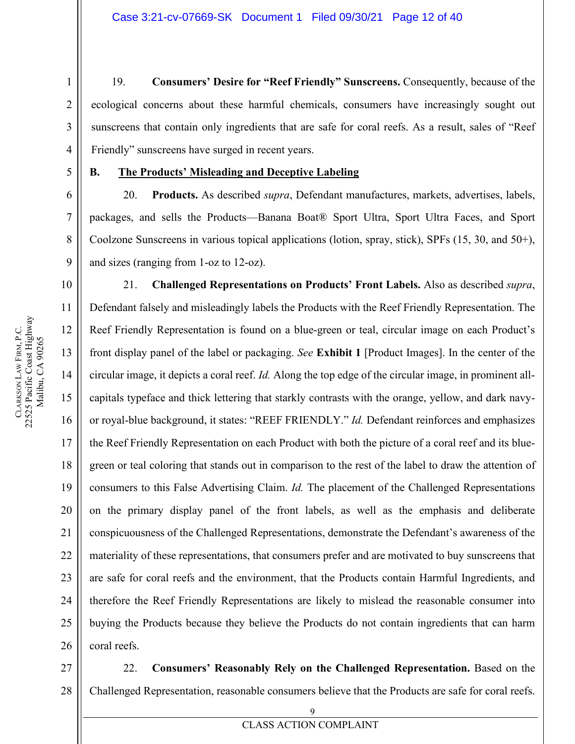19. **Consumers' Desire for "Reef Friendly" Sunscreens.** Consequently, because of the ecological concerns about these harmful chemicals, consumers have increasingly sought out sunscreens that contain only ingredients that are safe for coral reefs. As a result, sales of "Reef Friendly" sunscreens have surged in recent years.

#### <span id="page-11-0"></span>**B. The Products' Misleading and Deceptive Labeling**

20. **Products.** As described *supra*, Defendant manufactures, markets, advertises, labels, packages, and sells the Products—Banana Boat® Sport Ultra, Sport Ultra Faces, and Sport Coolzone Sunscreens in various topical applications (lotion, spray, stick), SPFs (15, 30, and 50+), and sizes (ranging from 1-oz to 12-oz).

21. **Challenged Representations on Products' Front Labels.** Also as described *supra*, Defendant falsely and misleadingly labels the Products with the Reef Friendly Representation. The Reef Friendly Representation is found on a blue-green or teal, circular image on each Product's front display panel of the label or packaging. *See* **Exhibit 1** [Product Images]. In the center of the circular image, it depicts a coral reef. *Id.* Along the top edge of the circular image, in prominent allcapitals typeface and thick lettering that starkly contrasts with the orange, yellow, and dark navyor royal-blue background, it states: "REEF FRIENDLY." *Id.* Defendant reinforces and emphasizes the Reef Friendly Representation on each Product with both the picture of a coral reef and its bluegreen or teal coloring that stands out in comparison to the rest of the label to draw the attention of consumers to this False Advertising Claim. *Id.* The placement of the Challenged Representations on the primary display panel of the front labels, as well as the emphasis and deliberate conspicuousness of the Challenged Representations, demonstrate the Defendant's awareness of the materiality of these representations, that consumers prefer and are motivated to buy sunscreens that are safe for coral reefs and the environment, that the Products contain Harmful Ingredients, and therefore the Reef Friendly Representations are likely to mislead the reasonable consumer into buying the Products because they believe the Products do not contain ingredients that can harm coral reefs.

#### 27 28 22. **Consumers' Reasonably Rely on the Challenged Representation.** Based on the Challenged Representation, reasonable consumers believe that the Products are safe for coral reefs.

1

2

3

4

5

6

7

8

9

10

11

12

13

14

15

16

17

18

19

20

21

22

23

24

25

26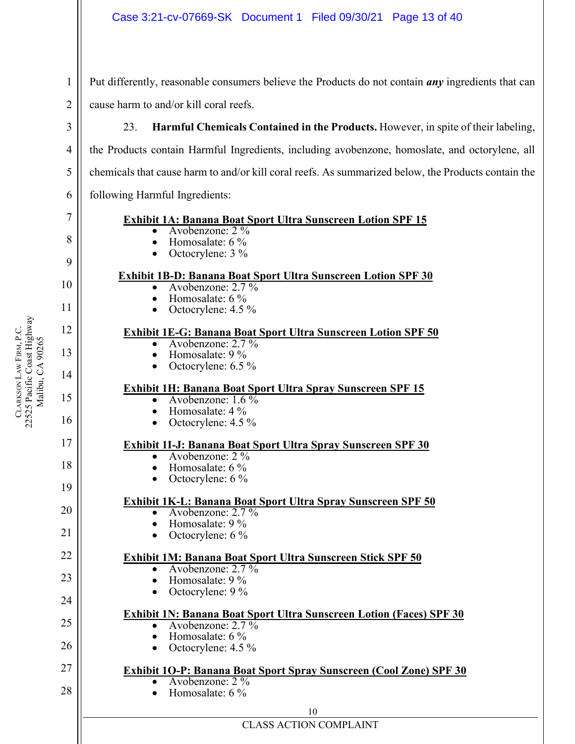Put differently, reasonable consumers believe the Products do not contain *any* ingredients that can cause harm to and/or kill coral reefs.

23. **Harmful Chemicals Contained in the Products.** However, in spite of their labeling, the Products contain Harmful Ingredients, including avobenzone, homoslate, and octorylene, all chemicals that cause harm to and/or kill coral reefs. As summarized below, the Products contain the following Harmful Ingredients:

### **Exhibit 1A: Banana Boat Sport Ultra Sunscreen Lotion SPF 15**<br>
• Avobenzone: 2 %<br>
• Homosalate: 6 %<br>
• Octocrylene: 3 %

- 
- 
- 

# **Exhibit 1B-D: Banana Boat Sport Ultra Sunscreen Lotion SPF 30**<br>
• Avobenzone: 2.7 %<br>
• Homosalate: 6 %<br>
• Octocrylene: 4.5 %

- 
- 
- 

# **Exhibit 1E-G: Banana Boat Sport Ultra Sunscreen Lotion SPF 50**<br>
• Avobenzone: 2.7 %<br>
• Homosalate: 9 %<br>
• Octocrylene: 6.5 %

- 
- 
- 

# **Exhibit 1H: Banana Boat Sport Ultra Spray Sunscreen SPF 15**<br>
• Avobenzone: 1.6 %<br>
• Homosalate: 4 %<br>
• Octocrylene: 4.5 %

- 
- 
- 

# **Exhibit 1I-J: Banana Boat Sport Ultra Spray Sunscreen SPF 30**<br>
• Avobenzone: 2 %<br>
• Homosalate: 6 %<br>
• Octocrylene: 6 %

- 
- 
- 

# **Exhibit 1K-L: Banana Boat Sport Ultra Spray Sunscreen SPF 50**<br>
• Avobenzone: 2.7 %<br>
• Homosalate: 9 %<br>
• Octocrylene: 6 %

- 
- 
- 

### **Exhibit 1M: Banana Boat Sport Ultra Sunscreen Stick SPF 50**<br>• Avobenzone: 2.7 %<br>• Homosalate: 9 %

- 
- 
- Octocrylene:  $9\%$

### **Exhibit 1N: Banana Boat Sport Ultra Sunscreen Lotion (Faces) SPF 30**<br>• Avobenzone: 2.7 %

- 
- Homosalate:  $6\%$
- Octocrylene:  $4.5 \%$

#### **Exhibit 1O-P: Banana Boat Sport Spray Sunscreen (Cool Zone) SPF 30** Avobenzone: 2 %

Homosalate:  $6\%$ 

1

2

3

4

5

6

7

8

9

10

11

12

13

14

15

16

17

18

19

20

21

22

23

24

25

26

27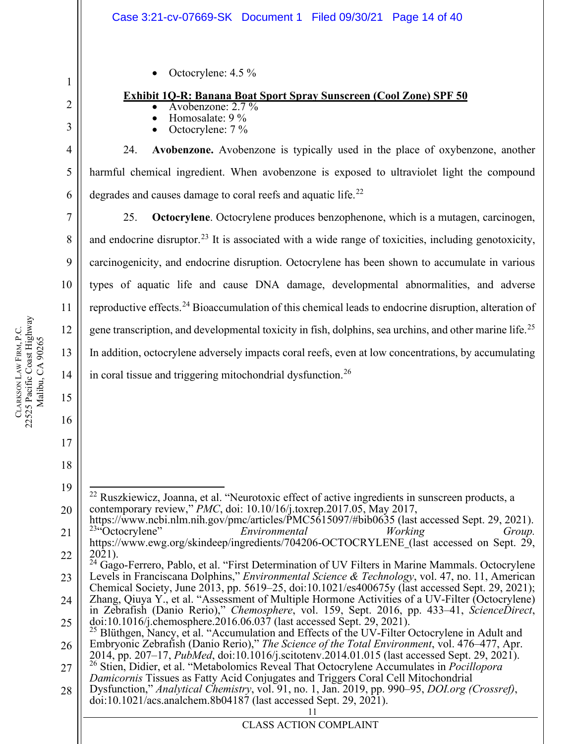Octocrylene: 4.5 %

#### **Exhibit 1Q-R: Banana Boat Sport Spray Sunscreen (Cool Zone) SPF 50**

- Avobenzone: 2.7 %<br>Homosalate: 9 %<br>Octocrylene: 7 %
- 
- 

24. **Avobenzone.** Avobenzone is typically used in the place of oxybenzone, another harmful chemical ingredient. When avobenzone is exposed to ultraviolet light the compound degrades and causes damage to coral reefs and aquatic life.<sup>[22](#page-13-0)</sup>

25. **Octocrylene**. Octocrylene produces benzophenone, which is a mutagen, carcinogen, and endocrine disruptor.<sup>[23](#page-13-1)</sup> It is associated with a wide range of toxicities, including genotoxicity, carcinogenicity, and endocrine disruption. Octocrylene has been shown to accumulate in various types of aquatic life and cause DNA damage, developmental abnormalities, and adverse reproductive effects.<sup>[24](#page-13-2)</sup> Bioaccumulation of this chemical leads to endocrine disruption, alteration of gene transcription, and developmental toxicity in fish, dolphins, sea urchins, and other marine life.<sup>[25](#page-13-3)</sup> In addition, octocrylene adversely impacts coral reefs, even at low concentrations, by accumulating in coral tissue and triggering mitochondrial dysfunction.<sup>[26](#page-13-4)</sup>

24 25 Zhang, Qiuya Y., et al. "Assessment of Multiple Hormone Activities of a UV-Filter (Octocrylene) in Zebrafish (Danio Rerio)," Chemosphere, vol. 159, Sept. 2016, pp. 433–41, ScienceDirect, doi:10.1016/j.chemosphere.2016.06.037 (last accessed Sept. 29, 2021).<br><sup>25</sup> Blüthgen, Nancy, et al. "Accumulation and Effects of the UV-Filter Octocrylene in Adult and

1

2

3

4

5

6

7

8

9

10

11

12

13

14

15

16

17

<span id="page-13-0"></span><sup>19</sup> 20 <sup>22</sup> Ruszkiewicz, Joanna, et al. "Neurotoxic effect of active ingredients in sunscreen products, a contemporary review," *PMC*, doi: 10.10/16/j.toxrep.2017.05, May 2017,

<span id="page-13-1"></span><sup>21</sup> 22 https://www.ncbi.nlm.nih.gov/pmc/articles/PMC5615097/#bib0635 (last accessed Sept. 29, 2021). 23"Octocrylene" *Environmental Working Group.*  https://www.ewg.org/skindeep/ingredients/704206-OCTOCRYLENE (last accessed on Sept. 29,

<span id="page-13-2"></span><sup>23</sup> 2021). <sup>24</sup> Gago-Ferrero, Pablo, et al. "First Determination of UV Filters in Marine Mammals. Octocrylene Levels in Franciscana Dolphins," *Environmental Science & Technology*, vol. 47, no. 11, American Chemical Society, June 2013, pp. 5619–25, doi:10.1021/es400675y (last accessed Sept. 29, 2021);

<span id="page-13-3"></span><sup>26</sup> Embryonic Zebrafish (Danio Rerio)," *The Science of the Total Environment*, vol. 476–477, Apr.

<span id="page-13-4"></span><sup>27</sup> <sup>26</sup> Stien, Didier, et al. "Metabolomics Reveal That Octocrylene Accumulates in *Pocillopora Damicornis* Tissues as Fatty Acid Conjugates and Triggers Coral Cell Mitochondrial

<sup>28</sup> Dysfunction," *Analytical Chemistry*, vol. 91, no. 1, Jan. 2019, pp. 990–95, *DOI.org (Crossref)*, doi:10.1021/acs.analchem.8b04187 (last accessed Sept. 29, 2021).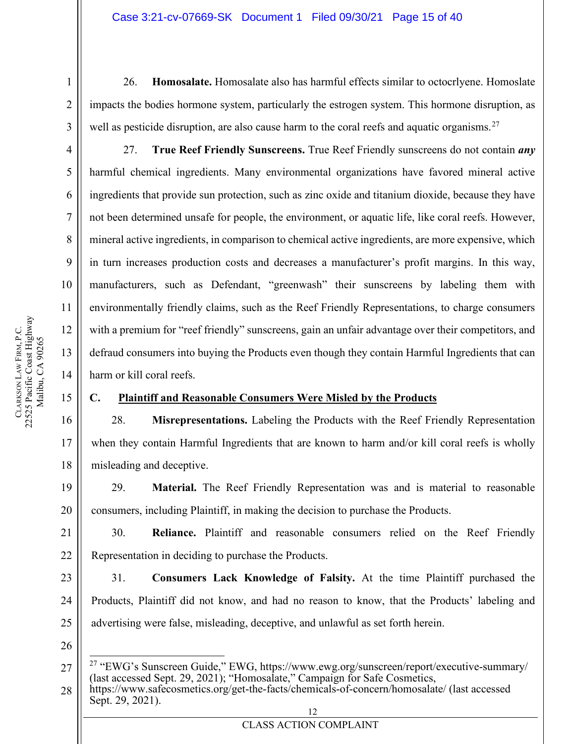26. **Homosalate.** Homosalate also has harmful effects similar to octocrlyene. Homoslate impacts the bodies hormone system, particularly the estrogen system. This hormone disruption, as well as pesticide disruption, are also cause harm to the coral reefs and aquatic organisms.<sup>[27](#page-14-1)</sup>

27. **True Reef Friendly Sunscreens.** True Reef Friendly sunscreens do not contain *any* harmful chemical ingredients. Many environmental organizations have favored mineral active ingredients that provide sun protection, such as zinc oxide and titanium dioxide, because they have not been determined unsafe for people, the environment, or aquatic life, like coral reefs. However, mineral active ingredients, in comparison to chemical active ingredients, are more expensive, which in turn increases production costs and decreases a manufacturer's profit margins. In this way, manufacturers, such as Defendant, "greenwash" their sunscreens by labeling them with environmentally friendly claims, such as the Reef Friendly Representations, to charge consumers with a premium for "reef friendly" sunscreens, gain an unfair advantage over their competitors, and defraud consumers into buying the Products even though they contain Harmful Ingredients that can harm or kill coral reefs.

#### 15

16

17

18

19

20

21

22

23

24

1

2

3

4

5

6

7

8

9

10

11

12

13

14

#### <span id="page-14-0"></span>**C. Plaintiff and Reasonable Consumers Were Misled by the Products**

28. **Misrepresentations.** Labeling the Products with the Reef Friendly Representation when they contain Harmful Ingredients that are known to harm and/or kill coral reefs is wholly misleading and deceptive.

29. **Material.** The Reef Friendly Representation was and is material to reasonable consumers, including Plaintiff, in making the decision to purchase the Products.

30. **Reliance.** Plaintiff and reasonable consumers relied on the Reef Friendly Representation in deciding to purchase the Products.

31. **Consumers Lack Knowledge of Falsity.** At the time Plaintiff purchased the Products, Plaintiff did not know, and had no reason to know, that the Products' labeling and advertising were false, misleading, deceptive, and unlawful as set forth herein.

26

<span id="page-14-1"></span>27

<sup>&</sup>lt;sup>27</sup> "EWG's Sunscreen Guide," EWG, https://www.ewg.org/sunscreen/report/executive-summary/ (last accessed Sept. 29, 2021); "Homosalate," Campaign for Safe Cosmetics,

<sup>12</sup> 28 https://www.safecosmetics.org/get-the-facts/chemicals-of-concern/homosalate/ (last accessed Sept. 29, 2021).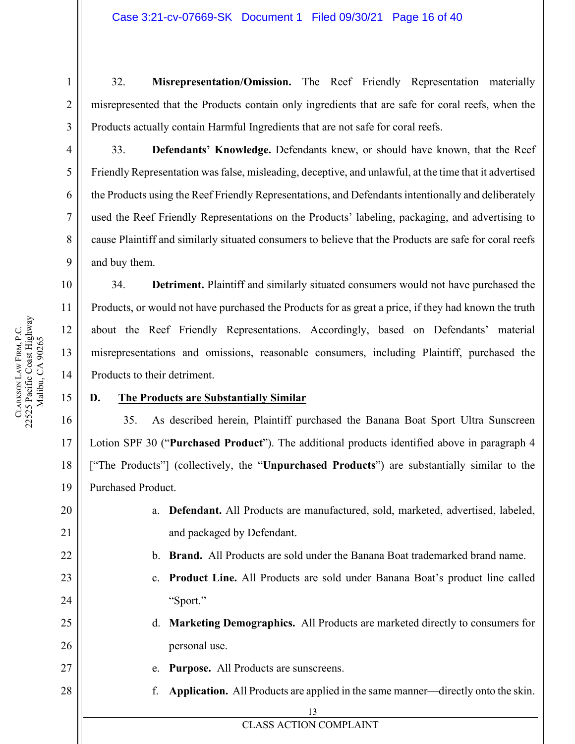32. **Misrepresentation/Omission.** The Reef Friendly Representation materially misrepresented that the Products contain only ingredients that are safe for coral reefs, when the Products actually contain Harmful Ingredients that are not safe for coral reefs.

33. **Defendants' Knowledge.** Defendants knew, or should have known, that the Reef Friendly Representation wasfalse, misleading, deceptive, and unlawful, at the time that it advertised the Products using the Reef Friendly Representations, and Defendants intentionally and deliberately used the Reef Friendly Representations on the Products' labeling, packaging, and advertising to cause Plaintiff and similarly situated consumers to believe that the Products are safe for coral reefs and buy them.

34. **Detriment.** Plaintiff and similarly situated consumers would not have purchased the Products, or would not have purchased the Products for as great a price, if they had known the truth about the Reef Friendly Representations. Accordingly, based on Defendants' material misrepresentations and omissions, reasonable consumers, including Plaintiff, purchased the Products to their detriment.

#### <span id="page-15-0"></span>**D. The Products are Substantially Similar**

35. As described herein, Plaintiff purchased the Banana Boat Sport Ultra Sunscreen Lotion SPF 30 ("**Purchased Product**"). The additional products identified above in paragraph 4 ["The Products"] (collectively, the "**Unpurchased Products**") are substantially similar to the Purchased Product.

- a. **Defendant.** All Products are manufactured, sold, marketed, advertised, labeled, and packaged by Defendant.
	- b. **Brand.** All Products are sold under the Banana Boat trademarked brand name.
	- c. **Product Line.** All Products are sold under Banana Boat's product line called "Sport."
- d. **Marketing Demographics.** All Products are marketed directly to consumers for personal use.
	- e. **Purpose.** All Products are sunscreens.
- f. **Application.** All Products are applied in the same manner—directly onto the skin.

13 CLASS ACTION COMPLAINT

1

2

3

4

5

6

7

8

9

10

11

12

13

14

15

16

17

18

19

20

21

22

23

24

25

26

27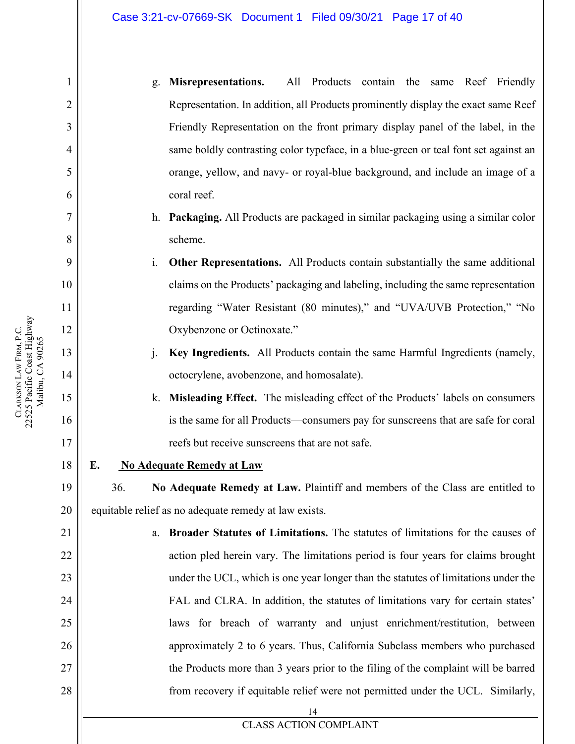- g. **Misrepresentations.** All Products contain the same Reef Friendly Representation. In addition, all Products prominently display the exact same Reef Friendly Representation on the front primary display panel of the label, in the same boldly contrasting color typeface, in a blue-green or teal font set against an orange, yellow, and navy- or royal-blue background, and include an image of a coral reef.
- h. **Packaging.** All Products are packaged in similar packaging using a similar color scheme.
- i. **Other Representations.** All Products contain substantially the same additional claims on the Products' packaging and labeling, including the same representation regarding "Water Resistant (80 minutes)," and "UVA/UVB Protection," "No Oxybenzone or Octinoxate."
- j. **Key Ingredients.** All Products contain the same Harmful Ingredients (namely, octocrylene, avobenzone, and homosalate).
- k. **Misleading Effect.** The misleading effect of the Products' labels on consumers is the same for all Products—consumers pay for sunscreens that are safe for coral reefs but receive sunscreens that are not safe.
- 18 **E. No Adequate Remedy at Law**

<span id="page-16-0"></span>36. **No Adequate Remedy at Law.** Plaintiff and members of the Class are entitled to

- 20 equitable relief as no adequate remedy at law exists.
	- 14 a. **Broader Statutes of Limitations.** The statutes of limitations for the causes of action pled herein vary. The limitations period is four years for claims brought under the UCL, which is one year longer than the statutes of limitations under the FAL and CLRA. In addition, the statutes of limitations vary for certain states' laws for breach of warranty and unjust enrichment/restitution, between approximately 2 to 6 years. Thus, California Subclass members who purchased the Products more than 3 years prior to the filing of the complaint will be barred from recovery if equitable relief were not permitted under the UCL. Similarly,

1

2

3

4

5

6

7

8

9

10

11

12

13

14

15

16

17

19

21

22

23

24

25

26

27

28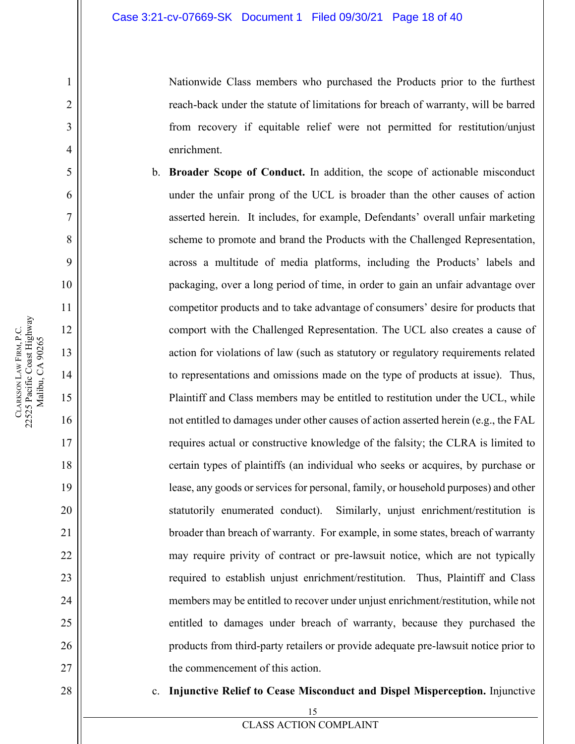Nationwide Class members who purchased the Products prior to the furthest reach-back under the statute of limitations for breach of warranty, will be barred from recovery if equitable relief were not permitted for restitution/unjust enrichment.

- b. **Broader Scope of Conduct.** In addition, the scope of actionable misconduct under the unfair prong of the UCL is broader than the other causes of action asserted herein. It includes, for example, Defendants' overall unfair marketing scheme to promote and brand the Products with the Challenged Representation, across a multitude of media platforms, including the Products' labels and packaging, over a long period of time, in order to gain an unfair advantage over competitor products and to take advantage of consumers' desire for products that comport with the Challenged Representation. The UCL also creates a cause of action for violations of law (such as statutory or regulatory requirements related to representations and omissions made on the type of products at issue). Thus, Plaintiff and Class members may be entitled to restitution under the UCL, while not entitled to damages under other causes of action asserted herein (e.g., the FAL requires actual or constructive knowledge of the falsity; the CLRA is limited to certain types of plaintiffs (an individual who seeks or acquires, by purchase or lease, any goods or services for personal, family, or household purposes) and other statutorily enumerated conduct). Similarly, unjust enrichment/restitution is broader than breach of warranty. For example, in some states, breach of warranty may require privity of contract or pre-lawsuit notice, which are not typically required to establish unjust enrichment/restitution. Thus, Plaintiff and Class members may be entitled to recover under unjust enrichment/restitution, while not entitled to damages under breach of warranty, because they purchased the products from third-party retailers or provide adequate pre-lawsuit notice prior to the commencement of this action.
	- c. **Injunctive Relief to Cease Misconduct and Dispel Misperception.** Injunctive

1

2

3

4

5

6

7

8

9

10

11

12

13

14

15

16

17

18

19

20

21

22

23

24

25

26

27

28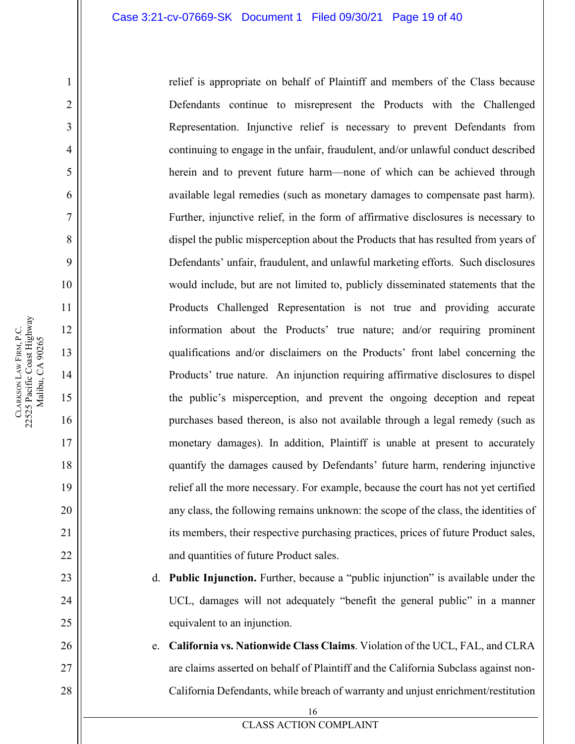relief is appropriate on behalf of Plaintiff and members of the Class because Defendants continue to misrepresent the Products with the Challenged Representation. Injunctive relief is necessary to prevent Defendants from continuing to engage in the unfair, fraudulent, and/or unlawful conduct described herein and to prevent future harm—none of which can be achieved through available legal remedies (such as monetary damages to compensate past harm). Further, injunctive relief, in the form of affirmative disclosures is necessary to dispel the public misperception about the Products that has resulted from years of Defendants' unfair, fraudulent, and unlawful marketing efforts. Such disclosures would include, but are not limited to, publicly disseminated statements that the Products Challenged Representation is not true and providing accurate information about the Products' true nature; and/or requiring prominent qualifications and/or disclaimers on the Products' front label concerning the Products' true nature. An injunction requiring affirmative disclosures to dispel the public's misperception, and prevent the ongoing deception and repeat purchases based thereon, is also not available through a legal remedy (such as monetary damages). In addition, Plaintiff is unable at present to accurately quantify the damages caused by Defendants' future harm, rendering injunctive relief all the more necessary. For example, because the court has not yet certified any class, the following remains unknown: the scope of the class, the identities of its members, their respective purchasing practices, prices of future Product sales, and quantities of future Product sales.

- d. **Public Injunction.** Further, because a "public injunction" is available under the UCL, damages will not adequately "benefit the general public" in a manner equivalent to an injunction.
- e. **California vs. Nationwide Class Claims**. Violation of the UCL, FAL, and CLRA are claims asserted on behalf of Plaintiff and the California Subclass against non-California Defendants, while breach of warranty and unjust enrichment/restitution

16

CLASS ACTION COMPLAINT

1

2

3

4

5

6

7

8

9

10

11

12

13

14

15

16

17

18

19

20

21

22

23

24

25

26

27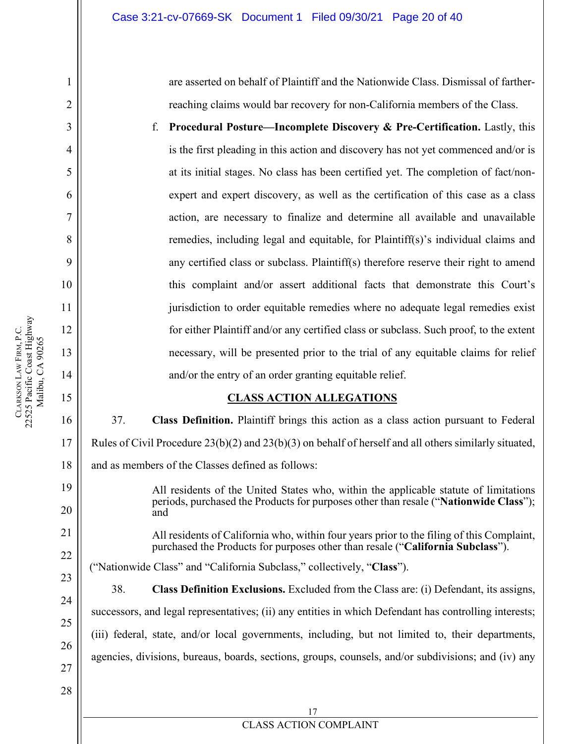are asserted on behalf of Plaintiff and the Nationwide Class. Dismissal of fartherreaching claims would bar recovery for non-California members of the Class.

f. **Procedural Posture—Incomplete Discovery & Pre-Certification.** Lastly, this is the first pleading in this action and discovery has not yet commenced and/or is at its initial stages. No class has been certified yet. The completion of fact/nonexpert and expert discovery, as well as the certification of this case as a class action, are necessary to finalize and determine all available and unavailable remedies, including legal and equitable, for Plaintiff(s)'s individual claims and any certified class or subclass. Plaintiff(s) therefore reserve their right to amend this complaint and/or assert additional facts that demonstrate this Court's jurisdiction to order equitable remedies where no adequate legal remedies exist for either Plaintiff and/or any certified class or subclass. Such proof, to the extent necessary, will be presented prior to the trial of any equitable claims for relief and/or the entry of an order granting equitable relief.

#### **CLASS ACTION ALLEGATIONS**

37. **Class Definition.** Plaintiff brings this action as a class action pursuant to Federal Rules of Civil Procedure 23(b)(2) and 23(b)(3) on behalf of herself and all others similarly situated, and as members of the Classes defined as follows:

19 20

1

2

3

4

5

6

7

8

9

10

11

12

13

14

<span id="page-19-0"></span>15

16

17

18

All residents of the United States who, within the applicable statute of limitations periods, purchased the Products for purposes other than resale ("**Nationwide Class**"); and

All residents of California who, within four years prior to the filing of this Complaint, purchased the Products for purposes other than resale ("**California Subclass**").

("Nationwide Class" and "California Subclass," collectively, "**Class**").

38. **Class Definition Exclusions.** Excluded from the Class are: (i) Defendant, its assigns, successors, and legal representatives; (ii) any entities in which Defendant has controlling interests; (iii) federal, state, and/or local governments, including, but not limited to, their departments, agencies, divisions, bureaus, boards, sections, groups, counsels, and/or subdivisions; and (iv) any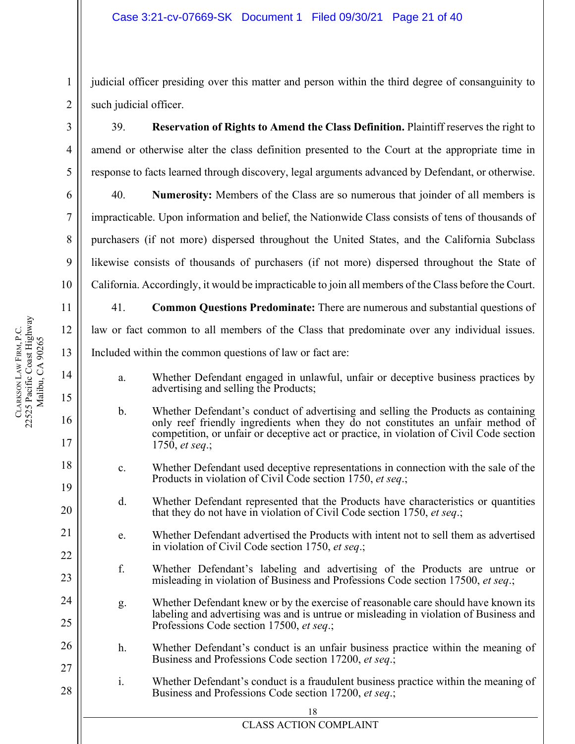judicial officer presiding over this matter and person within the third degree of consanguinity to such judicial officer.

39. **Reservation of Rights to Amend the Class Definition.** Plaintiff reserves the right to amend or otherwise alter the class definition presented to the Court at the appropriate time in response to facts learned through discovery, legal arguments advanced by Defendant, or otherwise.

40. **Numerosity:** Members of the Class are so numerous that joinder of all members is impracticable. Upon information and belief, the Nationwide Class consists of tens of thousands of purchasers (if not more) dispersed throughout the United States, and the California Subclass likewise consists of thousands of purchasers (if not more) dispersed throughout the State of California. Accordingly, it would be impracticable to join all members of the Class before the Court.

41. **Common Questions Predominate:** There are numerous and substantial questions of law or fact common to all members of the Class that predominate over any individual issues. Included within the common questions of law or fact are:

- a. Whether Defendant engaged in unlawful, unfair or deceptive business practices by advertising and selling the Products;
- b. Whether Defendant's conduct of advertising and selling the Products as containing only reef friendly ingredients when they do not constitutes an unfair method of competition, or unfair or deceptive act or practice, in violation of Civil Code section 1750, *et seq*.;
- c. Whether Defendant used deceptive representations in connection with the sale of the Products in violation of Civil Code section 1750, *et seq*.;
- d. Whether Defendant represented that the Products have characteristics or quantities that they do not have in violation of Civil Code section 1750, *et seq*.;
- e. Whether Defendant advertised the Products with intent not to sell them as advertised in violation of Civil Code section 1750, *et seq*.;
- f. Whether Defendant's labeling and advertising of the Products are untrue or misleading in violation of Business and Professions Code section 17500, *et seq*.;
- g. Whether Defendant knew or by the exercise of reasonable care should have known its labeling and advertising was and is untrue or misleading in violation of Business and Professions Code section 17500, *et seq*.;
- 26 27 h. Whether Defendant's conduct is an unfair business practice within the meaning of Business and Professions Code section 17200, *et seq*.;
- 28 i. Whether Defendant's conduct is a fraudulent business practice within the meaning of Business and Professions Code section 17200, *et seq*.;

1

2

3

4

5

6

7

8

9

10

11

12

13

14

15

16

17

18

19

20

21

22

23

24

25

**CLARKSON** 

LAW FIRM, P.C.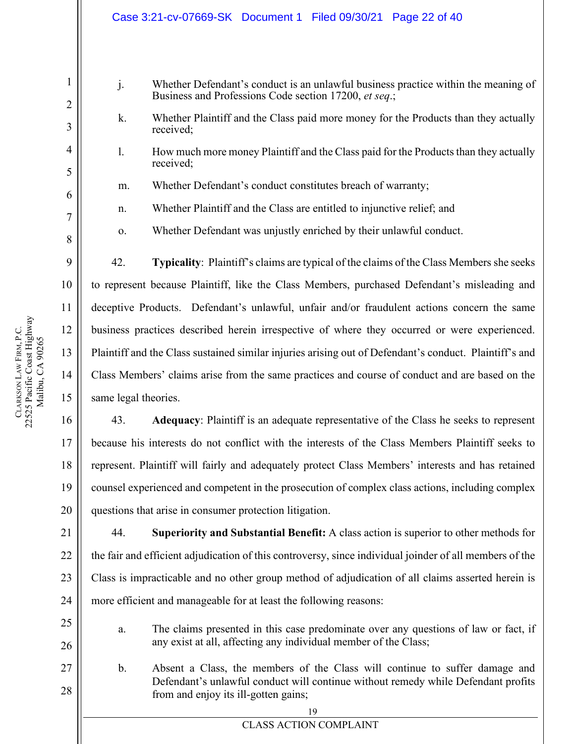|          | Case 3:21-cv-07669-SK Document 1 Filed 09/30/21 Page 22 of 40                                                                                                                                                  |  |
|----------|----------------------------------------------------------------------------------------------------------------------------------------------------------------------------------------------------------------|--|
|          |                                                                                                                                                                                                                |  |
| 1<br>2   | j.<br>Whether Defendant's conduct is an unlawful business practice within the meaning of<br>Business and Professions Code section 17200, et seq.;                                                              |  |
| 3        | Whether Plaintiff and the Class paid more money for the Products than they actually<br>k.<br>received;                                                                                                         |  |
| 4<br>5   | How much more money Plaintiff and the Class paid for the Products than they actually<br>1.<br>received;                                                                                                        |  |
| 6        | Whether Defendant's conduct constitutes breach of warranty;<br>m.                                                                                                                                              |  |
| 7        | Whether Plaintiff and the Class are entitled to injunctive relief; and<br>n.                                                                                                                                   |  |
| 8        | Whether Defendant was unjustly enriched by their unlawful conduct.<br>0.                                                                                                                                       |  |
| 9        | 42.<br>Typicality: Plaintiff's claims are typical of the claims of the Class Members she seeks                                                                                                                 |  |
| 10       | to represent because Plaintiff, like the Class Members, purchased Defendant's misleading and                                                                                                                   |  |
| 11       | deceptive Products. Defendant's unlawful, unfair and/or fraudulent actions concern the same                                                                                                                    |  |
| 12       | business practices described herein irrespective of where they occurred or were experienced.                                                                                                                   |  |
| 13       | Plaintiff and the Class sustained similar injuries arising out of Defendant's conduct. Plaintiff's and                                                                                                         |  |
| 14       | Class Members' claims arise from the same practices and course of conduct and are based on the                                                                                                                 |  |
| 15       | same legal theories.                                                                                                                                                                                           |  |
| 16       | 43. Adequacy: Plaintiff is an adequate representative of the Class he seeks to represent                                                                                                                       |  |
| 17       | because his interests do not conflict with the interests of the Class Members Plaintiff seeks to                                                                                                               |  |
| 18       | represent. Plaintiff will fairly and adequately protect Class Members' interests and has retained                                                                                                              |  |
| 19       | counsel experienced and competent in the prosecution of complex class actions, including complex                                                                                                               |  |
| 20       | questions that arise in consumer protection litigation.                                                                                                                                                        |  |
| 21       | Superiority and Substantial Benefit: A class action is superior to other methods for<br>44.                                                                                                                    |  |
| 22       | the fair and efficient adjudication of this controversy, since individual joinder of all members of the                                                                                                        |  |
| 23       | Class is impracticable and no other group method of adjudication of all claims asserted herein is                                                                                                              |  |
| 24       | more efficient and manageable for at least the following reasons:                                                                                                                                              |  |
| 25       | The claims presented in this case predominate over any questions of law or fact, if<br>a.                                                                                                                      |  |
| 26       | any exist at all, affecting any individual member of the Class;                                                                                                                                                |  |
| 27<br>28 | Absent a Class, the members of the Class will continue to suffer damage and<br>b.<br>Defendant's unlawful conduct will continue without remedy while Defendant profits<br>from and enjoy its ill-gotten gains; |  |
|          | 19<br><b>CLASS ACTION COMPLAINT</b>                                                                                                                                                                            |  |
|          |                                                                                                                                                                                                                |  |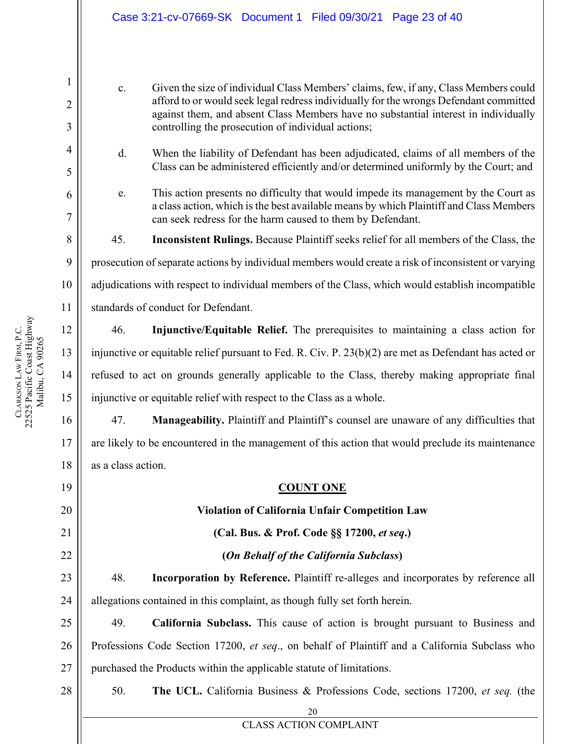c. Given the size of individual Class Members' claims, few, if any, Class Members could afford to or would seek legal redress individually for the wrongs Defendant committed against them, and absent Class Members have no substantial interest in individually controlling the prosecution of individual actions;

d. When the liability of Defendant has been adjudicated, claims of all members of the Class can be administered efficiently and/or determined uniformly by the Court; and

e. This action presents no difficulty that would impede its management by the Court as a class action, which is the best available means by which Plaintiff and Class Members can seek redress for the harm caused to them by Defendant.

45. **Inconsistent Rulings.** Because Plaintiff seeks relief for all members of the Class, the

prosecution of separate actions by individual members would create a risk of inconsistent or varying

adjudications with respect to individual members of the Class, which would establish incompatible

standards of conduct for Defendant.

46. **Injunctive/Equitable Relief.** The prerequisites to maintaining a class action for injunctive or equitable relief pursuant to Fed. R. Civ. P. 23(b)(2) are met as Defendant has acted or refused to act on grounds generally applicable to the Class, thereby making appropriate final injunctive or equitable relief with respect to the Class as a whole.

47. **Manageability.** Plaintiff and Plaintiff's counsel are unaware of any difficulties that are likely to be encountered in the management of this action that would preclude its maintenance as a class action.

#### **COUNT ONE**

#### **Violation of California Unfair Competition Law**

**(Cal. Bus. & Prof. Code §§ 17200,** *et seq***.)**

**(***On Behalf of the California Subclass***)**

48. **Incorporation by Reference.** Plaintiff re-alleges and incorporates by reference all allegations contained in this complaint, as though fully set forth herein.

25 26 27 49. **California Subclass.** This cause of action is brought pursuant to Business and Professions Code Section 17200, *et seq*., on behalf of Plaintiff and a California Subclass who purchased the Products within the applicable statute of limitations.

#### 28

50. **The UCL.** California Business & Professions Code, sections 17200, *et seq.* (the

20 CLASS ACTION COMPLAINT

1

2

3

4

5

6

7

8

9

10

11

12

13

14

15

16

17

18

<span id="page-22-0"></span>19

20

21

22

23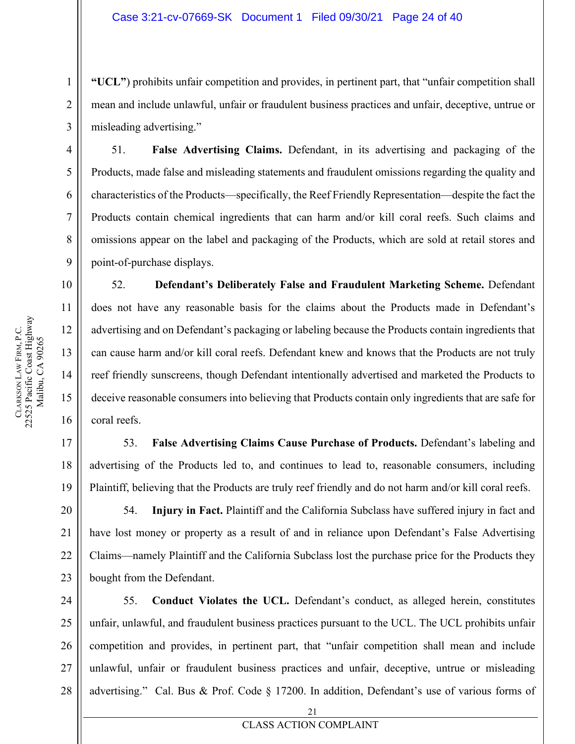**"UCL"**) prohibits unfair competition and provides, in pertinent part, that "unfair competition shall mean and include unlawful, unfair or fraudulent business practices and unfair, deceptive, untrue or misleading advertising."

51. **False Advertising Claims.** Defendant, in its advertising and packaging of the Products, made false and misleading statements and fraudulent omissions regarding the quality and characteristics of the Products—specifically, the Reef Friendly Representation—despite the fact the Products contain chemical ingredients that can harm and/or kill coral reefs. Such claims and omissions appear on the label and packaging of the Products, which are sold at retail stores and point-of-purchase displays.

52. **Defendant's Deliberately False and Fraudulent Marketing Scheme.** Defendant does not have any reasonable basis for the claims about the Products made in Defendant's advertising and on Defendant's packaging or labeling because the Products contain ingredients that can cause harm and/or kill coral reefs. Defendant knew and knows that the Products are not truly reef friendly sunscreens, though Defendant intentionally advertised and marketed the Products to deceive reasonable consumers into believing that Products contain only ingredients that are safe for coral reefs.

53. **False Advertising Claims Cause Purchase of Products.** Defendant's labeling and advertising of the Products led to, and continues to lead to, reasonable consumers, including Plaintiff, believing that the Products are truly reef friendly and do not harm and/or kill coral reefs.

54. **Injury in Fact.** Plaintiff and the California Subclass have suffered injury in fact and have lost money or property as a result of and in reliance upon Defendant's False Advertising Claims—namely Plaintiff and the California Subclass lost the purchase price for the Products they bought from the Defendant.

24 25 26 27 28 55. **Conduct Violates the UCL.** Defendant's conduct, as alleged herein, constitutes unfair, unlawful, and fraudulent business practices pursuant to the UCL. The UCL prohibits unfair competition and provides, in pertinent part, that "unfair competition shall mean and include unlawful, unfair or fraudulent business practices and unfair, deceptive, untrue or misleading advertising." Cal. Bus & Prof. Code § 17200. In addition, Defendant's use of various forms of

1

2

3

4

5

6

7

8

9

10

11

12

13

14

15

16

17

18

19

20

21

22

23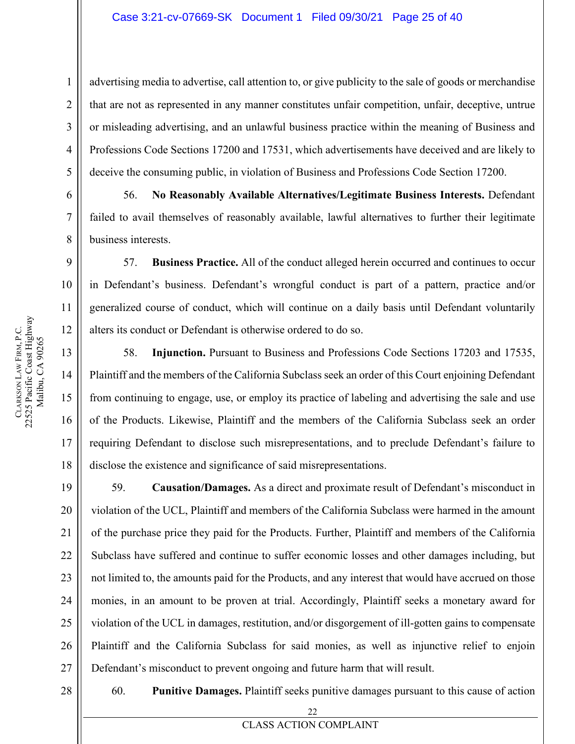advertising media to advertise, call attention to, or give publicity to the sale of goods or merchandise that are not as represented in any manner constitutes unfair competition, unfair, deceptive, untrue or misleading advertising, and an unlawful business practice within the meaning of Business and Professions Code Sections 17200 and 17531, which advertisements have deceived and are likely to deceive the consuming public, in violation of Business and Professions Code Section 17200.

56. **No Reasonably Available Alternatives/Legitimate Business Interests.** Defendant failed to avail themselves of reasonably available, lawful alternatives to further their legitimate business interests.

57. **Business Practice.** All of the conduct alleged herein occurred and continues to occur in Defendant's business. Defendant's wrongful conduct is part of a pattern, practice and/or generalized course of conduct, which will continue on a daily basis until Defendant voluntarily alters its conduct or Defendant is otherwise ordered to do so.

58. **Injunction.** Pursuant to Business and Professions Code Sections 17203 and 17535, Plaintiff and the members of the California Subclass seek an order of this Court enjoining Defendant from continuing to engage, use, or employ its practice of labeling and advertising the sale and use of the Products. Likewise, Plaintiff and the members of the California Subclass seek an order requiring Defendant to disclose such misrepresentations, and to preclude Defendant's failure to disclose the existence and significance of said misrepresentations.

59. **Causation/Damages.** As a direct and proximate result of Defendant's misconduct in violation of the UCL, Plaintiff and members of the California Subclass were harmed in the amount of the purchase price they paid for the Products. Further, Plaintiff and members of the California Subclass have suffered and continue to suffer economic losses and other damages including, but not limited to, the amounts paid for the Products, and any interest that would have accrued on those monies, in an amount to be proven at trial. Accordingly, Plaintiff seeks a monetary award for violation of the UCL in damages, restitution, and/or disgorgement of ill-gotten gains to compensate Plaintiff and the California Subclass for said monies, as well as injunctive relief to enjoin Defendant's misconduct to prevent ongoing and future harm that will result.

28

60. **Punitive Damages.** Plaintiff seeks punitive damages pursuant to this cause of action

1

2

3

4

5

6

7

8

9

10

11

12

13

14

15

16

17

18

19

20

21

22

23

24

25

26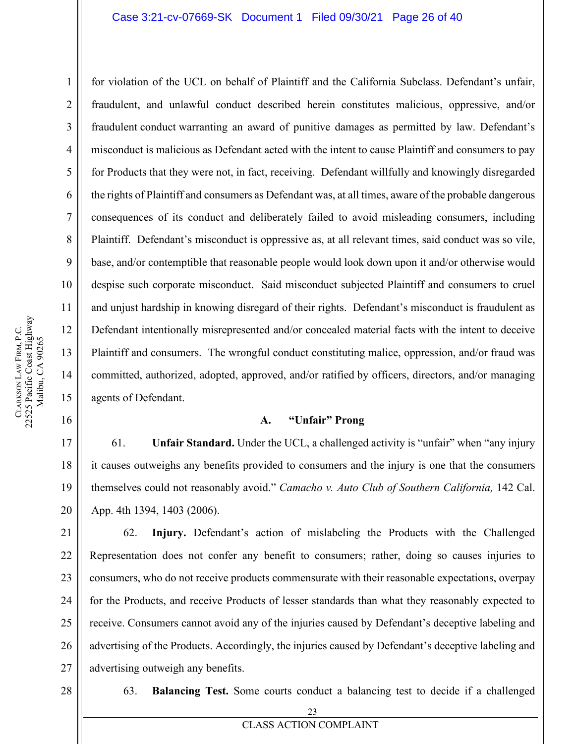for violation of the UCL on behalf of Plaintiff and the California Subclass. Defendant's unfair, fraudulent, and unlawful conduct described herein constitutes malicious, oppressive, and/or fraudulent conduct warranting an award of punitive damages as permitted by law. Defendant's misconduct is malicious as Defendant acted with the intent to cause Plaintiff and consumers to pay for Products that they were not, in fact, receiving. Defendant willfully and knowingly disregarded the rights of Plaintiff and consumers as Defendant was, at all times, aware of the probable dangerous consequences of its conduct and deliberately failed to avoid misleading consumers, including Plaintiff. Defendant's misconduct is oppressive as, at all relevant times, said conduct was so vile, base, and/or contemptible that reasonable people would look down upon it and/or otherwise would despise such corporate misconduct. Said misconduct subjected Plaintiff and consumers to cruel and unjust hardship in knowing disregard of their rights. Defendant's misconduct is fraudulent as Defendant intentionally misrepresented and/or concealed material facts with the intent to deceive Plaintiff and consumers. The wrongful conduct constituting malice, oppression, and/or fraud was committed, authorized, adopted, approved, and/or ratified by officers, directors, and/or managing agents of Defendant.

#### **A. "Unfair" Prong**

61. **Unfair Standard.** Under the UCL, a challenged activity is "unfair" when "any injury it causes outweighs any benefits provided to consumers and the injury is one that the consumers themselves could not reasonably avoid." *Camacho v. Auto Club of Southern California,* 142 Cal. App. 4th 1394, 1403 (2006).

24 25 26 27 62. **Injury.** Defendant's action of mislabeling the Products with the Challenged Representation does not confer any benefit to consumers; rather, doing so causes injuries to consumers, who do not receive products commensurate with their reasonable expectations, overpay for the Products, and receive Products of lesser standards than what they reasonably expected to receive. Consumers cannot avoid any of the injuries caused by Defendant's deceptive labeling and advertising of the Products. Accordingly, the injuries caused by Defendant's deceptive labeling and advertising outweigh any benefits.

- 28
- 63. **Balancing Test.** Some courts conduct a balancing test to decide if a challenged

1

2

3

4

5

6

7

8

9

10

11

12

13

14

15

<span id="page-25-0"></span>16

17

18

19

20

21

22

23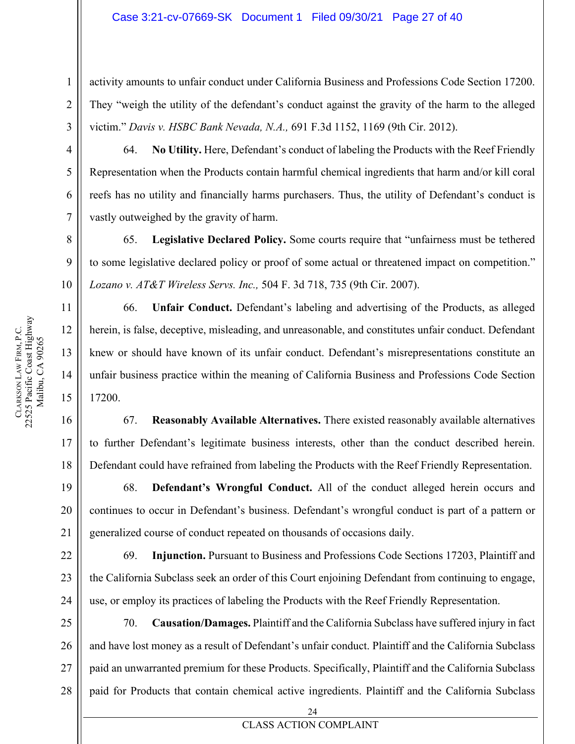activity amounts to unfair conduct under California Business and Professions Code Section 17200. They "weigh the utility of the defendant's conduct against the gravity of the harm to the alleged victim." *Davis v. HSBC Bank Nevada, N.A.,* 691 F.3d 1152, 1169 (9th Cir. 2012).

64. **No Utility.** Here, Defendant's conduct of labeling the Products with the Reef Friendly Representation when the Products contain harmful chemical ingredients that harm and/or kill coral reefs has no utility and financially harms purchasers. Thus, the utility of Defendant's conduct is vastly outweighed by the gravity of harm.

65. **Legislative Declared Policy.** Some courts require that "unfairness must be tethered to some legislative declared policy or proof of some actual or threatened impact on competition." *Lozano v. AT&T Wireless Servs. Inc.,* 504 F. 3d 718, 735 (9th Cir. 2007).

66. **Unfair Conduct.** Defendant's labeling and advertising of the Products, as alleged herein, is false, deceptive, misleading, and unreasonable, and constitutes unfair conduct. Defendant knew or should have known of its unfair conduct. Defendant's misrepresentations constitute an unfair business practice within the meaning of California Business and Professions Code Section 17200.

67. **Reasonably Available Alternatives.** There existed reasonably available alternatives to further Defendant's legitimate business interests, other than the conduct described herein. Defendant could have refrained from labeling the Products with the Reef Friendly Representation.

68. **Defendant's Wrongful Conduct.** All of the conduct alleged herein occurs and continues to occur in Defendant's business. Defendant's wrongful conduct is part of a pattern or generalized course of conduct repeated on thousands of occasions daily.

69. **Injunction.** Pursuant to Business and Professions Code Sections 17203, Plaintiff and the California Subclass seek an order of this Court enjoining Defendant from continuing to engage, use, or employ its practices of labeling the Products with the Reef Friendly Representation.

70. **Causation/Damages.** Plaintiff and the California Subclass have suffered injury in fact and have lost money as a result of Defendant's unfair conduct. Plaintiff and the California Subclass paid an unwarranted premium for these Products. Specifically, Plaintiff and the California Subclass paid for Products that contain chemical active ingredients. Plaintiff and the California Subclass

1

2

3

4

5

6

7

8

9

10

11

12

13

14

15

16

17

18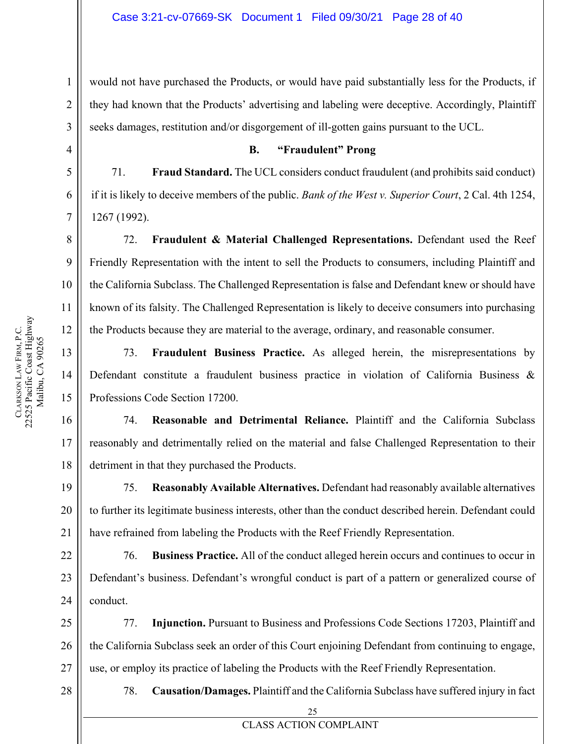would not have purchased the Products, or would have paid substantially less for the Products, if they had known that the Products' advertising and labeling were deceptive. Accordingly, Plaintiff seeks damages, restitution and/or disgorgement of ill-gotten gains pursuant to the UCL.

#### **B. "Fraudulent" Prong**

71. **Fraud Standard.** The UCL considers conduct fraudulent (and prohibits said conduct) if it is likely to deceive members of the public. *Bank of the West v. Superior Court*, 2 Cal. 4th 1254, 1267 (1992).

72. **Fraudulent & Material Challenged Representations.** Defendant used the Reef Friendly Representation with the intent to sell the Products to consumers, including Plaintiff and the California Subclass. The Challenged Representation is false and Defendant knew or should have known of its falsity. The Challenged Representation is likely to deceive consumers into purchasing the Products because they are material to the average, ordinary, and reasonable consumer.

73. **Fraudulent Business Practice.** As alleged herein, the misrepresentations by Defendant constitute a fraudulent business practice in violation of California Business & Professions Code Section 17200.

74. **Reasonable and Detrimental Reliance.** Plaintiff and the California Subclass reasonably and detrimentally relied on the material and false Challenged Representation to their detriment in that they purchased the Products.

75. **Reasonably Available Alternatives.** Defendant had reasonably available alternatives to further its legitimate business interests, other than the conduct described herein. Defendant could have refrained from labeling the Products with the Reef Friendly Representation.

76. **Business Practice.** All of the conduct alleged herein occurs and continues to occur in Defendant's business. Defendant's wrongful conduct is part of a pattern or generalized course of conduct.

25 26 27 77. **Injunction.** Pursuant to Business and Professions Code Sections 17203, Plaintiff and the California Subclass seek an order of this Court enjoining Defendant from continuing to engage, use, or employ its practice of labeling the Products with the Reef Friendly Representation.

28

78. **Causation/Damages.** Plaintiff and the California Subclass have suffered injury in fact

1

2

3

<span id="page-27-0"></span>4

5

6

7

8

9

10

11

12

13

14

15

16

17

18

19

20

21

22

23

24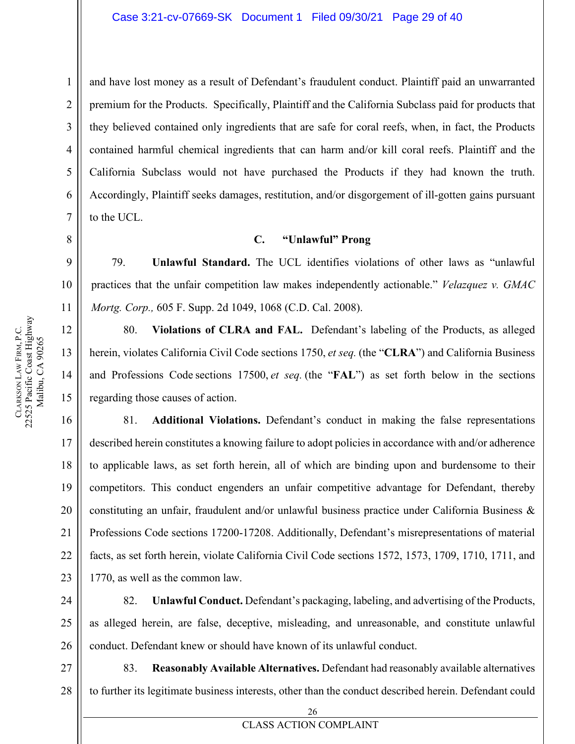and have lost money as a result of Defendant's fraudulent conduct. Plaintiff paid an unwarranted premium for the Products. Specifically, Plaintiff and the California Subclass paid for products that they believed contained only ingredients that are safe for coral reefs, when, in fact, the Products contained harmful chemical ingredients that can harm and/or kill coral reefs. Plaintiff and the California Subclass would not have purchased the Products if they had known the truth. Accordingly, Plaintiff seeks damages, restitution, and/or disgorgement of ill-gotten gains pursuant to the UCL.

#### **C. "Unlawful" Prong**

79. **Unlawful Standard.** The UCL identifies violations of other laws as "unlawful practices that the unfair competition law makes independently actionable." *Velazquez v. GMAC Mortg. Corp.,* 605 F. Supp. 2d 1049, 1068 (C.D. Cal. 2008).

80. **Violations of CLRA and FAL.** Defendant's labeling of the Products, as alleged herein, violates California Civil Code sections 1750, et seq. (the "**CLRA**") and California Business and Professions Code sections 17500, et seq. (the "**FAL**") as set forth below in the sections regarding those causes of action.

81. **Additional Violations.** Defendant's conduct in making the false representations described herein constitutes a knowing failure to adopt policies in accordance with and/or adherence to applicable laws, as set forth herein, all of which are binding upon and burdensome to their competitors. This conduct engenders an unfair competitive advantage for Defendant, thereby constituting an unfair, fraudulent and/or unlawful business practice under California Business & Professions Code sections 17200-17208. Additionally, Defendant's misrepresentations of material facts, as set forth herein, violate California Civil Code sections 1572, 1573, 1709, 1710, 1711, and 1770, as well as the common law.

82. **Unlawful Conduct.** Defendant's packaging, labeling, and advertising of the Products, as alleged herein, are false, deceptive, misleading, and unreasonable, and constitute unlawful conduct. Defendant knew or should have known of its unlawful conduct.

27 28 83. **Reasonably Available Alternatives.** Defendant had reasonably available alternatives to further its legitimate business interests, other than the conduct described herein. Defendant could

1

2

3

4

5

6

7

<span id="page-28-0"></span>8

9

10

11

12

13

14

15

16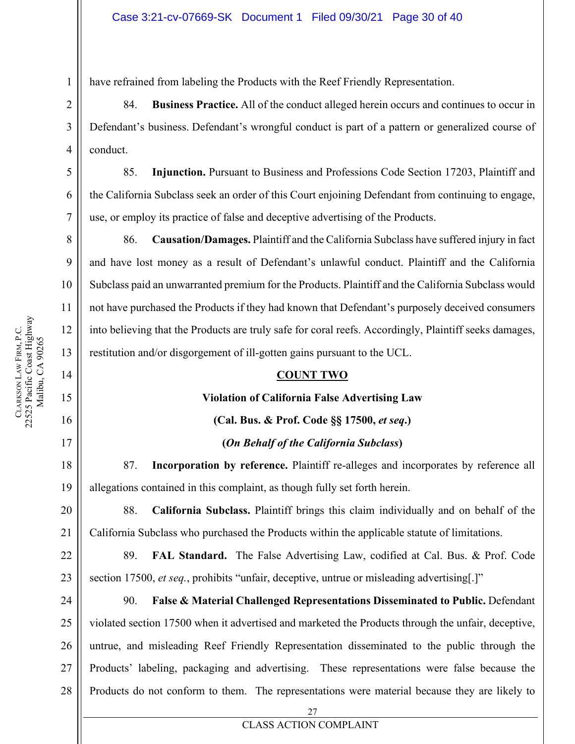have refrained from labeling the Products with the Reef Friendly Representation.

84. **Business Practice.** All of the conduct alleged herein occurs and continues to occur in Defendant's business. Defendant's wrongful conduct is part of a pattern or generalized course of conduct.

85. **Injunction.** Pursuant to Business and Professions Code Section 17203, Plaintiff and the California Subclass seek an order of this Court enjoining Defendant from continuing to engage, use, or employ its practice of false and deceptive advertising of the Products.

86. **Causation/Damages.** Plaintiff and the California Subclass have suffered injury in fact and have lost money as a result of Defendant's unlawful conduct. Plaintiff and the California Subclass paid an unwarranted premium for the Products. Plaintiff and the California Subclass would not have purchased the Products if they had known that Defendant's purposely deceived consumers into believing that the Products are truly safe for coral reefs. Accordingly, Plaintiff seeks damages, restitution and/or disgorgement of ill-gotten gains pursuant to the UCL.

#### **COUNT TWO**

#### **Violation of California False Advertising Law**

#### **(Cal. Bus. & Prof. Code §§ 17500,** *et seq***.)**

#### **(***On Behalf of the California Subclass***)**

87. **Incorporation by reference.** Plaintiff re-alleges and incorporates by reference all allegations contained in this complaint, as though fully set forth herein.

88. **California Subclass.** Plaintiff brings this claim individually and on behalf of the California Subclass who purchased the Products within the applicable statute of limitations.

22 23 89. **FAL Standard.** The False Advertising Law, codified at Cal. Bus. & Prof. Code section 17500, *et seq.*, prohibits "unfair, deceptive, untrue or misleading advertising[.]"

24 25 26 27 28 90. **False & Material Challenged Representations Disseminated to Public.** Defendant violated section 17500 when it advertised and marketed the Products through the unfair, deceptive, untrue, and misleading Reef Friendly Representation disseminated to the public through the Products' labeling, packaging and advertising. These representations were false because the Products do not conform to them. The representations were material because they are likely to

1

2

3

4

5

6

7

8

9

10

11

12

13

<span id="page-29-0"></span>14

15

16

17

18

19

20

21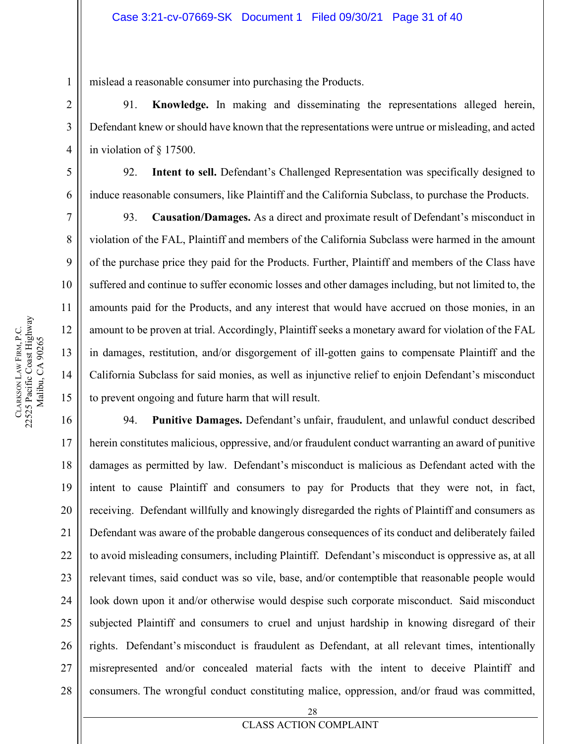mislead a reasonable consumer into purchasing the Products.

91. **Knowledge.** In making and disseminating the representations alleged herein, Defendant knew or should have known that the representations were untrue or misleading, and acted in violation of § 17500.

92. **Intent to sell.** Defendant's Challenged Representation was specifically designed to induce reasonable consumers, like Plaintiff and the California Subclass, to purchase the Products.

93. **Causation/Damages.** As a direct and proximate result of Defendant's misconduct in violation of the FAL, Plaintiff and members of the California Subclass were harmed in the amount of the purchase price they paid for the Products. Further, Plaintiff and members of the Class have suffered and continue to suffer economic losses and other damages including, but not limited to, the amounts paid for the Products, and any interest that would have accrued on those monies, in an amount to be proven at trial. Accordingly, Plaintiff seeks a monetary award for violation of the FAL in damages, restitution, and/or disgorgement of ill-gotten gains to compensate Plaintiff and the California Subclass for said monies, as well as injunctive relief to enjoin Defendant's misconduct to prevent ongoing and future harm that will result.

19 20 21 22 23 24 25 26 27 28 94. **Punitive Damages.** Defendant's unfair, fraudulent, and unlawful conduct described herein constitutes malicious, oppressive, and/or fraudulent conduct warranting an award of punitive damages as permitted by law. Defendant's misconduct is malicious as Defendant acted with the intent to cause Plaintiff and consumers to pay for Products that they were not, in fact, receiving. Defendant willfully and knowingly disregarded the rights of Plaintiff and consumers as Defendant was aware of the probable dangerous consequences of its conduct and deliberately failed to avoid misleading consumers, including Plaintiff. Defendant's misconduct is oppressive as, at all relevant times, said conduct was so vile, base, and/or contemptible that reasonable people would look down upon it and/or otherwise would despise such corporate misconduct. Said misconduct subjected Plaintiff and consumers to cruel and unjust hardship in knowing disregard of their rights. Defendant's misconduct is fraudulent as Defendant, at all relevant times, intentionally misrepresented and/or concealed material facts with the intent to deceive Plaintiff and consumers. The wrongful conduct constituting malice, oppression, and/or fraud was committed,

1

**CLARKSON** 

LAW FIRM, P.C.

22525 Pacific Coast Highway Malibu, CA 90265

CLARKSON LAW FIRM, P.C.<br>22525 Pacific Coast Highway Malibu, CA 90265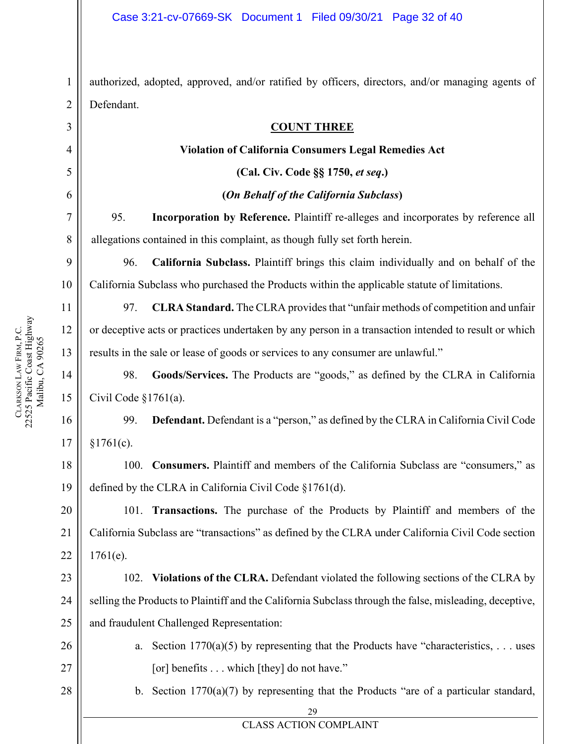authorized, adopted, approved, and/or ratified by officers, directors, and/or managing agents of Defendant.

#### **COUNT THREE**

#### **Violation of California Consumers Legal Remedies Act**

**(Cal. Civ. Code §§ 1750,** *et seq***.)**

#### **(***On Behalf of the California Subclass***)**

95. **Incorporation by Reference.** Plaintiff re-alleges and incorporates by reference all allegations contained in this complaint, as though fully set forth herein.

96. **California Subclass.** Plaintiff brings this claim individually and on behalf of the California Subclass who purchased the Products within the applicable statute of limitations.

97. **CLRA Standard.** The CLRA provides that "unfair methods of competition and unfair or deceptive acts or practices undertaken by any person in a transaction intended to result or which results in the sale or lease of goods or services to any consumer are unlawful."

98. **Goods/Services.** The Products are "goods," as defined by the CLRA in California Civil Code §1761(a).

99. **Defendant.** Defendant is a "person," as defined by the CLRA in California Civil Code  $§1761(c).$ 

18 19 100. **Consumers.** Plaintiff and members of the California Subclass are "consumers," as defined by the CLRA in California Civil Code §1761(d).

101. **Transactions.** The purchase of the Products by Plaintiff and members of the California Subclass are "transactions" as defined by the CLRA under California Civil Code section 1761(e).

23 24 25 102. **Violations of the CLRA.** Defendant violated the following sections of the CLRA by selling the Products to Plaintiff and the California Subclass through the false, misleading, deceptive, and fraudulent Challenged Representation:

> a. Section  $1770(a)(5)$  by representing that the Products have "characteristics, ... uses [or] benefits . . . which [they] do not have."

> b. Section 1770(a)(7) by representing that the Products "are of a particular standard,

29 CLASS ACTION COMPLAINT

1

2

<span id="page-31-0"></span>3

4

5

6

7

8

9

10

11

12

13

14

15

16

17

20

21

22

26

27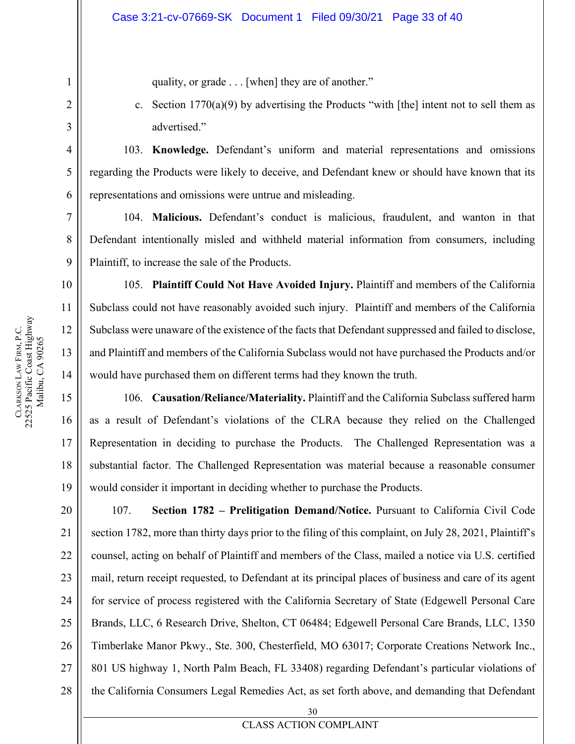quality, or grade . . . [when] they are of another."

c. Section  $1770(a)(9)$  by advertising the Products "with [the] intent not to sell them as advertised."

103. **Knowledge.** Defendant's uniform and material representations and omissions regarding the Products were likely to deceive, and Defendant knew or should have known that its representations and omissions were untrue and misleading.

104. **Malicious.** Defendant's conduct is malicious, fraudulent, and wanton in that Defendant intentionally misled and withheld material information from consumers, including Plaintiff, to increase the sale of the Products.

105. **Plaintiff Could Not Have Avoided Injury.** Plaintiff and members of the California Subclass could not have reasonably avoided such injury. Plaintiff and members of the California Subclass were unaware of the existence of the facts that Defendant suppressed and failed to disclose, and Plaintiff and members of the California Subclass would not have purchased the Products and/or would have purchased them on different terms had they known the truth.

106. **Causation/Reliance/Materiality.** Plaintiff and the California Subclass suffered harm as a result of Defendant's violations of the CLRA because they relied on the Challenged Representation in deciding to purchase the Products. The Challenged Representation was a substantial factor. The Challenged Representation was material because a reasonable consumer would consider it important in deciding whether to purchase the Products.

20 21 22 23 24 25 26 27 28 107. **Section 1782 – Prelitigation Demand/Notice.** Pursuant to California Civil Code section 1782, more than thirty days prior to the filing of this complaint, on July 28, 2021, Plaintiff's counsel, acting on behalf of Plaintiff and members of the Class, mailed a notice via U.S. certified mail, return receipt requested, to Defendant at its principal places of business and care of its agent for service of process registered with the California Secretary of State (Edgewell Personal Care Brands, LLC, 6 Research Drive, Shelton, CT 06484; Edgewell Personal Care Brands, LLC, 1350 Timberlake Manor Pkwy., Ste. 300, Chesterfield, MO 63017; Corporate Creations Network Inc., 801 US highway 1, North Palm Beach, FL 33408) regarding Defendant's particular violations of the California Consumers Legal Remedies Act, as set forth above, and demanding that Defendant

1

2

3

4

5

6

7

8

9

18

19

**CLARKSON** 

LAW FIRM, P.C.

22525 Pacific Coast Highway

CLARKSON LAW FIRM, P.C.<br>22525 Pacific Coast Highway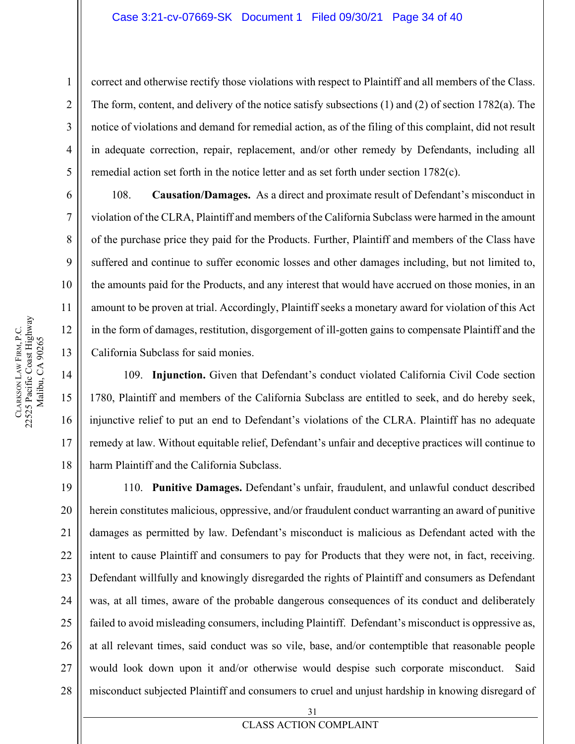#### Case 3:21-cv-07669-SK Document 1 Filed 09/30/21 Page 34 of 40

correct and otherwise rectify those violations with respect to Plaintiff and all members of the Class. The form, content, and delivery of the notice satisfy subsections (1) and (2) of section 1782(a). The notice of violations and demand for remedial action, as of the filing of this complaint, did not result in adequate correction, repair, replacement, and/or other remedy by Defendants, including all remedial action set forth in the notice letter and as set forth under section 1782(c).

108. **Causation/Damages.** As a direct and proximate result of Defendant's misconduct in violation of the CLRA, Plaintiff and members of the California Subclass were harmed in the amount of the purchase price they paid for the Products. Further, Plaintiff and members of the Class have suffered and continue to suffer economic losses and other damages including, but not limited to, the amounts paid for the Products, and any interest that would have accrued on those monies, in an amount to be proven at trial. Accordingly, Plaintiff seeks a monetary award for violation of this Act in the form of damages, restitution, disgorgement of ill-gotten gains to compensate Plaintiff and the California Subclass for said monies.

109. **Injunction.** Given that Defendant's conduct violated California Civil Code section 1780, Plaintiff and members of the California Subclass are entitled to seek, and do hereby seek, injunctive relief to put an end to Defendant's violations of the CLRA. Plaintiff has no adequate remedy at law. Without equitable relief, Defendant's unfair and deceptive practices will continue to harm Plaintiff and the California Subclass.

19 20 21 22 23 24 25 26 27 28 110. **Punitive Damages.** Defendant's unfair, fraudulent, and unlawful conduct described herein constitutes malicious, oppressive, and/or fraudulent conduct warranting an award of punitive damages as permitted by law. Defendant's misconduct is malicious as Defendant acted with the intent to cause Plaintiff and consumers to pay for Products that they were not, in fact, receiving. Defendant willfully and knowingly disregarded the rights of Plaintiff and consumers as Defendant was, at all times, aware of the probable dangerous consequences of its conduct and deliberately failed to avoid misleading consumers, including Plaintiff. Defendant's misconduct is oppressive as, at all relevant times, said conduct was so vile, base, and/or contemptible that reasonable people would look down upon it and/or otherwise would despise such corporate misconduct. Said misconduct subjected Plaintiff and consumers to cruel and unjust hardship in knowing disregard of

1

2

3

4

5

6

7

8

9

10

11

12

13

14

15

16

17

18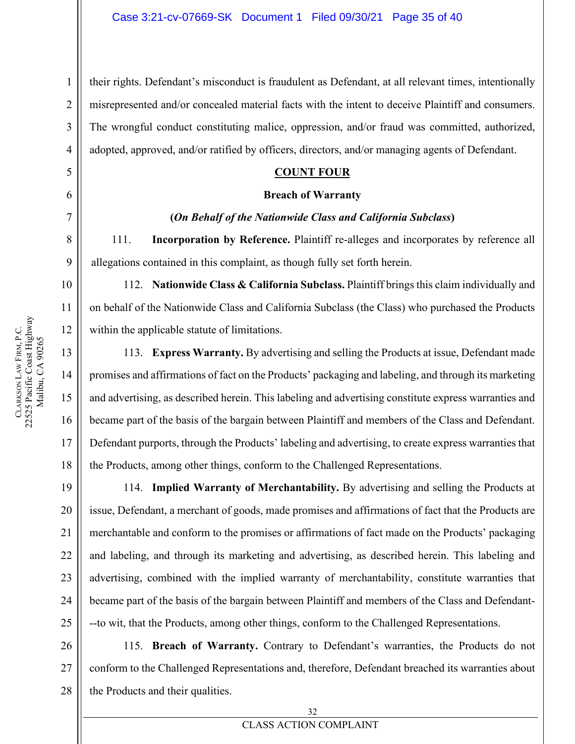their rights. Defendant's misconduct is fraudulent as Defendant, at all relevant times, intentionally misrepresented and/or concealed material facts with the intent to deceive Plaintiff and consumers. The wrongful conduct constituting malice, oppression, and/or fraud was committed, authorized, adopted, approved, and/or ratified by officers, directors, and/or managing agents of Defendant.

#### **COUNT FOUR**

#### **Breach of Warranty**

#### **(***On Behalf of the Nationwide Class and California Subclass***)**

111. **Incorporation by Reference.** Plaintiff re-alleges and incorporates by reference all allegations contained in this complaint, as though fully set forth herein.

112. **Nationwide Class & California Subclass.** Plaintiff brings this claim individually and on behalf of the Nationwide Class and California Subclass (the Class) who purchased the Products within the applicable statute of limitations.

113. **Express Warranty.** By advertising and selling the Products at issue, Defendant made promises and affirmations of fact on the Products' packaging and labeling, and through its marketing and advertising, as described herein. This labeling and advertising constitute express warranties and became part of the basis of the bargain between Plaintiff and members of the Class and Defendant. Defendant purports, through the Products' labeling and advertising, to create express warranties that the Products, among other things, conform to the Challenged Representations.

114. **Implied Warranty of Merchantability.** By advertising and selling the Products at issue, Defendant, a merchant of goods, made promises and affirmations of fact that the Products are merchantable and conform to the promises or affirmations of fact made on the Products' packaging and labeling, and through its marketing and advertising, as described herein. This labeling and advertising, combined with the implied warranty of merchantability, constitute warranties that became part of the basis of the bargain between Plaintiff and members of the Class and Defendant- --to wit, that the Products, among other things, conform to the Challenged Representations.

26 27 28 115. **Breach of Warranty.** Contrary to Defendant's warranties, the Products do not conform to the Challenged Representations and, therefore, Defendant breached its warranties about the Products and their qualities.

1

2

3

4

<span id="page-34-0"></span>5

6

7

8

9

10

11

12

13

14

15

16

17

18

19

20

21

22

23

24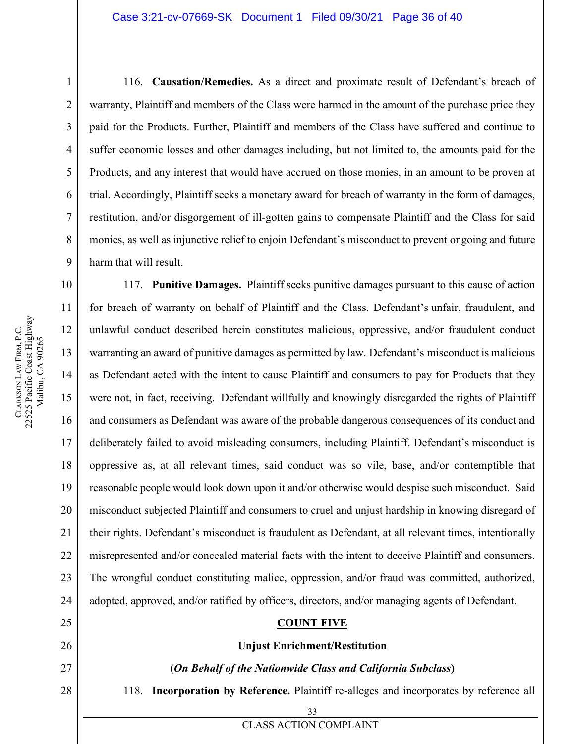116. **Causation/Remedies.** As a direct and proximate result of Defendant's breach of warranty, Plaintiff and members of the Class were harmed in the amount of the purchase price they paid for the Products. Further, Plaintiff and members of the Class have suffered and continue to suffer economic losses and other damages including, but not limited to, the amounts paid for the Products, and any interest that would have accrued on those monies, in an amount to be proven at trial. Accordingly, Plaintiff seeks a monetary award for breach of warranty in the form of damages, restitution, and/or disgorgement of ill-gotten gains to compensate Plaintiff and the Class for said monies, as well as injunctive relief to enjoin Defendant's misconduct to prevent ongoing and future harm that will result.

19 117. **Punitive Damages.** Plaintiff seeks punitive damages pursuant to this cause of action for breach of warranty on behalf of Plaintiff and the Class. Defendant's unfair, fraudulent, and unlawful conduct described herein constitutes malicious, oppressive, and/or fraudulent conduct warranting an award of punitive damages as permitted by law. Defendant's misconduct is malicious as Defendant acted with the intent to cause Plaintiff and consumers to pay for Products that they were not, in fact, receiving. Defendant willfully and knowingly disregarded the rights of Plaintiff and consumers as Defendant was aware of the probable dangerous consequences of its conduct and deliberately failed to avoid misleading consumers, including Plaintiff. Defendant's misconduct is oppressive as, at all relevant times, said conduct was so vile, base, and/or contemptible that reasonable people would look down upon it and/or otherwise would despise such misconduct. Said misconduct subjected Plaintiff and consumers to cruel and unjust hardship in knowing disregard of their rights. Defendant's misconduct is fraudulent as Defendant, at all relevant times, intentionally misrepresented and/or concealed material facts with the intent to deceive Plaintiff and consumers. The wrongful conduct constituting malice, oppression, and/or fraud was committed, authorized, adopted, approved, and/or ratified by officers, directors, and/or managing agents of Defendant.

#### **COUNT FIVE**

#### **Unjust Enrichment/Restitution**

#### **(***On Behalf of the Nationwide Class and California Subclass***)**

118. **Incorporation by Reference.** Plaintiff re-alleges and incorporates by reference all

33

CLASS ACTION COMPLAINT

1

2

3

4

5

6

7

8

9

10

11

12

13

14

15

16

17

18

20

21

22

23

24

<span id="page-35-0"></span>25

26

27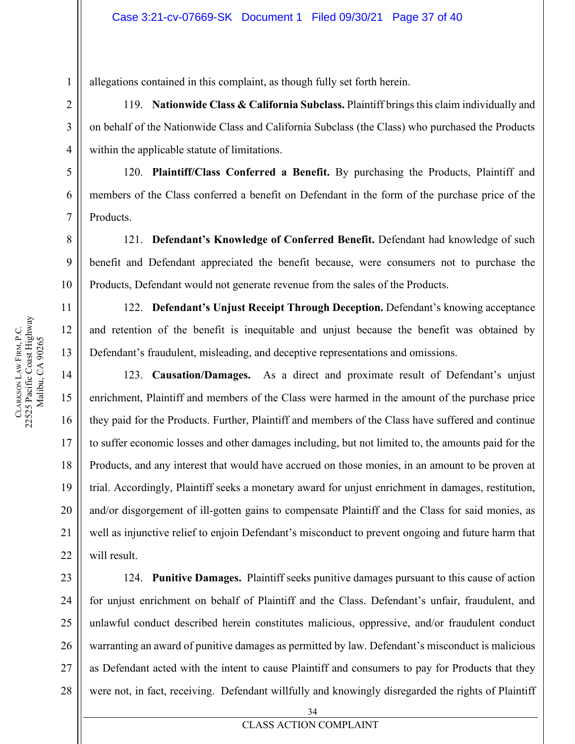allegations contained in this complaint, as though fully set forth herein.

119. **Nationwide Class & California Subclass.** Plaintiff brings this claim individually and on behalf of the Nationwide Class and California Subclass (the Class) who purchased the Products within the applicable statute of limitations.

120. **Plaintiff/Class Conferred a Benefit.** By purchasing the Products, Plaintiff and members of the Class conferred a benefit on Defendant in the form of the purchase price of the Products.

121. **Defendant's Knowledge of Conferred Benefit.** Defendant had knowledge of such benefit and Defendant appreciated the benefit because, were consumers not to purchase the Products, Defendant would not generate revenue from the sales of the Products.

122. **Defendant's Unjust Receipt Through Deception.** Defendant's knowing acceptance and retention of the benefit is inequitable and unjust because the benefit was obtained by Defendant's fraudulent, misleading, and deceptive representations and omissions.

123. **Causation/Damages.** As a direct and proximate result of Defendant's unjust enrichment, Plaintiff and members of the Class were harmed in the amount of the purchase price they paid for the Products. Further, Plaintiff and members of the Class have suffered and continue to suffer economic losses and other damages including, but not limited to, the amounts paid for the Products, and any interest that would have accrued on those monies, in an amount to be proven at trial. Accordingly, Plaintiff seeks a monetary award for unjust enrichment in damages, restitution, and/or disgorgement of ill-gotten gains to compensate Plaintiff and the Class for said monies, as well as injunctive relief to enjoin Defendant's misconduct to prevent ongoing and future harm that will result.

23 24 25 26 27 124. **Punitive Damages.** Plaintiff seeks punitive damages pursuant to this cause of action for unjust enrichment on behalf of Plaintiff and the Class. Defendant's unfair, fraudulent, and unlawful conduct described herein constitutes malicious, oppressive, and/or fraudulent conduct warranting an award of punitive damages as permitted by law. Defendant's misconduct is malicious as Defendant acted with the intent to cause Plaintiff and consumers to pay for Products that they were not, in fact, receiving. Defendant willfully and knowingly disregarded the rights of Plaintiff

19

20

21

22

1

**CLARKSON** 

LAW FIRM, P.C.

22525 Pacific Coast Highway Malibu, CA 90265

CLARKSON LAW FIRM, P.C.<br>22525 Pacific Coast Highway Malibu, CA 90265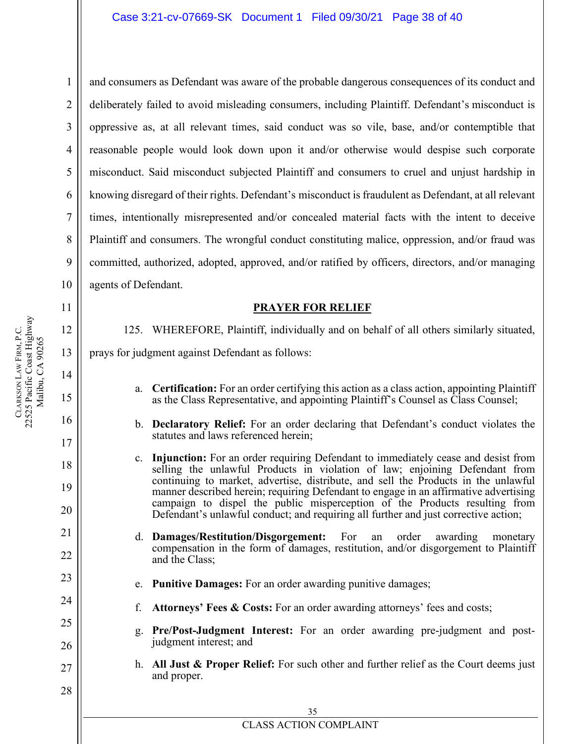and consumers as Defendant was aware of the probable dangerous consequences of its conduct and deliberately failed to avoid misleading consumers, including Plaintiff. Defendant's misconduct is oppressive as, at all relevant times, said conduct was so vile, base, and/or contemptible that reasonable people would look down upon it and/or otherwise would despise such corporate misconduct. Said misconduct subjected Plaintiff and consumers to cruel and unjust hardship in knowing disregard of their rights. Defendant's misconduct is fraudulent as Defendant, at all relevant times, intentionally misrepresented and/or concealed material facts with the intent to deceive Plaintiff and consumers. The wrongful conduct constituting malice, oppression, and/or fraud was committed, authorized, adopted, approved, and/or ratified by officers, directors, and/or managing agents of Defendant.

#### **PRAYER FOR RELIEF**

125. WHEREFORE, Plaintiff, individually and on behalf of all others similarly situated,

prays for judgment against Defendant as follows:

- a. **Certification:** For an order certifying this action as a class action, appointing Plaintiff as the Class Representative, and appointing Plaintiff's Counsel as Class Counsel;
- b. **Declaratory Relief:** For an order declaring that Defendant's conduct violates the statutes and laws referenced herein;
- c. **Injunction:** For an order requiring Defendant to immediately cease and desist from selling the unlawful Products in violation of law; enjoining Defendant from continuing to market, advertise, distribute, and sell the Products in the unlawful manner described herein; requiring Defendant to engage in an affirmative advertising campaign to dispel the public misperception of the Products resulting from Defendant's unlawful conduct; and requiring all further and just corrective action;
- d. **Damages/Restitution/Disgorgement:** For an order awarding monetary compensation in the form of damages, restitution, and/or disgorgement to Plaintiff and the Class;
	- e. **Punitive Damages:** For an order awarding punitive damages;
	- f. **Attorneys' Fees & Costs:** For an order awarding attorneys' fees and costs;
- g. **Pre/Post-Judgment Interest:** For an order awarding pre-judgment and postjudgment interest; and
- h. **All Just & Proper Relief:** For such other and further relief as the Court deems just and proper.

1

2

3

4

5

6

7

8

9

10

<span id="page-37-0"></span>11

12

13

14

15

16

17

18

19

20

21

22

23

24

25

26

27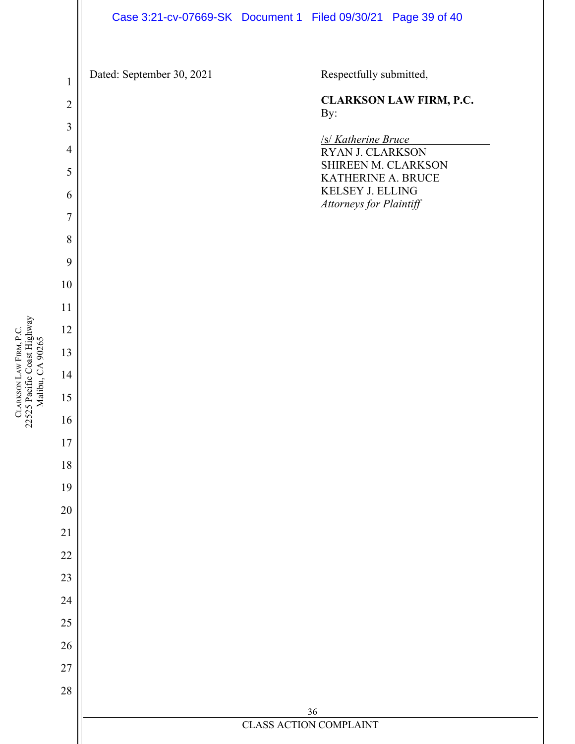<span id="page-38-0"></span>